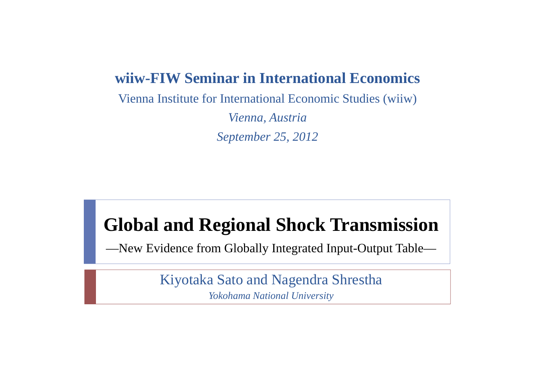#### **wiiw-FIW Seminar in International Economics**

Vienna Institute for International Economic Studies (wiiw)

*Vienna, Austria September 25, 2012*

#### **Global and Regional Shock Transmission**

—New Evidence from Globally Integrated Input-Output Table—

Kiyotaka Sato and Nagendra Shrestha *Yokohama National University*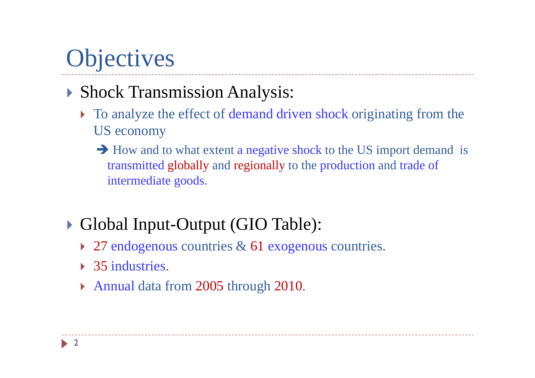## **Objectives**

#### Shock Transmission Analysis:

- To analyze the effect of demand driven shock originating from the US economy
	- $\rightarrow$  How and to what extent a negative shock to the US import demand is transmitted globally and regionally to the production and trade of intermediate goods.
- Global Input-Output (GIO Table):
	- ▶ 27 endogenous countries & 61 exogenous countries.
	- ▶ 35 industries.
	- Annual data from 2005 through 2010.

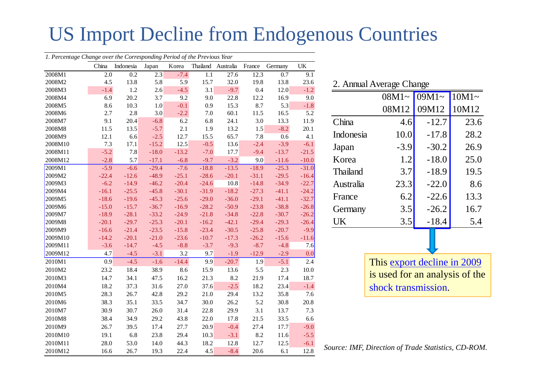#### US Import Decline from Endogenous Countries

| 1. Percentage Change over the Corresponding Period of the Previous Year |         |           |         |         |         |                    |         |         |         |
|-------------------------------------------------------------------------|---------|-----------|---------|---------|---------|--------------------|---------|---------|---------|
|                                                                         | China   | Indonesia | Japan   | Korea   |         | Thailand Australia | France  | Germany | UK      |
| 2008M1                                                                  | 2.0     | 0.2       | 2.3     | $-7.4$  | 1.1     | 27.6               | 12.3    | 0.7     | 9.1     |
| 2008M2                                                                  | 4.5     | 13.8      | 5.8     | 5.9     | 15.7    | 32.0               | 19.8    | 13.8    | 23.6    |
| 2008M3                                                                  | $-1.4$  | $1.2\,$   | 2.6     | $-4.5$  | 3.1     | $-9.7$             | 0.4     | 12.0    | $-1.2$  |
| 2008M4                                                                  | 6.9     | 20.2      | 3.7     | 9.2     | 9.0     | 22.8               | 12.2    | 16.9    | 9.0     |
| 2008M5                                                                  | 8.6     | 10.3      | 1.0     | $-0.1$  | 0.9     | 15.3               | 8.7     | 5.3     | $-1.8$  |
| 2008M6                                                                  | 2.7     | 2.8       | 3.0     | $-2.2$  | 7.0     | 60.1               | 11.5    | 16.5    | 5.2     |
| 2008M7                                                                  | 9.1     | 20.4      | $-6.8$  | 6.2     | 6.8     | 24.1               | 3.0     | 13.3    | 11.9    |
| 2008M8                                                                  | 11.5    | 13.5      | $-5.7$  | 2.1     | 1.9     | 13.2               | 1.5     | $-8.2$  | 20.1    |
| 2008M9                                                                  | 12.1    | 6.6       | $-2.5$  | 12.7    | 15.5    | 65.7               | 7.8     | 0.6     | 4.1     |
| 2008M10                                                                 | 7.3     | 17.1      | $-15.2$ | 12.5    | $-0.5$  | 13.6               | $-2.4$  | $-3.9$  | $-6.1$  |
| 2008M11                                                                 | $-5.2$  | 7.8       | $-18.0$ | $-13.2$ | $-7.0$  | 17.7               | $-9.4$  | $-13.7$ | $-21.5$ |
| 2008M12                                                                 | $-2.8$  | 5.7       | $-17.1$ | $-6.8$  | $-9.7$  | $-3.2$             | 9.0     | $-11.6$ | $-10.0$ |
| 2009M1                                                                  | $-5.9$  | $-6.6$    | $-29.4$ | $-7.6$  | $-18.8$ | $-13.5$            | $-18.9$ | $-25.3$ | $-31.0$ |
| 2009M2                                                                  | $-22.4$ | $-12.6$   | $-48.9$ | $-25.1$ | $-28.6$ | $-20.1$            | $-31.1$ | $-29.5$ | $-16.4$ |
| 2009M3                                                                  | $-6.2$  | $-14.9$   | $-46.2$ | $-20.4$ | $-24.6$ | 10.8               | $-14.8$ | $-34.9$ | $-22.7$ |
| 2009M4                                                                  | $-16.1$ | $-25.5$   | $-45.8$ | $-30.1$ | $-31.9$ | $-18.2$            | $-27.3$ | $-41.1$ | $-24.2$ |
| 2009M5                                                                  | $-18.6$ | $-19.6$   | $-45.3$ | $-25.6$ | $-29.0$ | $-36.0$            | $-29.1$ | $-41.1$ | $-32.7$ |
| 2009M6                                                                  | $-15.0$ | $-15.7$   | $-36.7$ | $-16.9$ | $-28.2$ | $-50.9$            | $-23.8$ | $-38.8$ | $-26.8$ |
| 2009M7                                                                  | $-18.9$ | $-28.1$   | $-33.2$ | $-24.9$ | $-21.8$ | $-34.8$            | $-22.8$ | $-30.7$ | $-26.2$ |
| 2009M8                                                                  | $-20.1$ | $-29.7$   | $-25.3$ | $-20.1$ | $-16.2$ | $-42.1$            | $-29.4$ | $-29.3$ | $-26.4$ |
| 2009M9                                                                  | $-16.6$ | $-21.4$   | $-23.5$ | $-15.8$ | $-23.4$ | $-30.5$            | $-25.8$ | $-20.7$ | $-9.9$  |
| 2009M10                                                                 | $-14.2$ | $-20.1$   | $-21.0$ | $-23.6$ | $-10.7$ | $-17.3$            | $-26.2$ | $-15.6$ | $-11.6$ |
| 2009M11                                                                 | $-3.6$  | $-14.7$   | $-4.5$  | $-8.8$  | $-3.7$  | $-9.3$             | $-8.7$  | $-4.8$  | 7.6     |
| 2009M12                                                                 | 4.7     | $-4.5$    | $-3.1$  | 3.2     | 9.7     | $-1.9$             | $-12.9$ | $-2.9$  | 0.0     |
| 2010M1                                                                  | 0.9     | $-4.5$    | $-1.6$  | $-14.4$ | 9.9     | $-20.7$            | 1.9     | $-5.1$  | 2.4     |
| 2010M2                                                                  | 23.2    | 18.4      | 38.9    | 8.6     | 15.9    | 13.6               | 5.5     | 2.3     | 10.0    |
| 2010M3                                                                  | 14.7    | 34.1      | 47.5    | 16.2    | 21.3    | 8.2                | 21.9    | 17.4    | 18.7    |
| 2010M4                                                                  | 18.2    | 37.3      | 31.6    | 27.0    | 37.6    | $-2.5$             | 18.2    | 23.4    | $-1.4$  |
| 2010M5                                                                  | 28.3    | 26.7      | 42.8    | 29.2    | 21.0    | 29.4               | 13.2    | 35.8    | 7.6     |
| 2010M6                                                                  | 38.3    | 35.1      | 33.5    | 34.7    | 30.0    | 26.2               | 5.2     | 30.8    | 20.8    |
| 2010M7                                                                  | 30.9    | 30.7      | 26.0    | 31.4    | 22.8    | 29.9               | 3.1     | 13.7    | 7.3     |
| 2010M8                                                                  | 38.4    | 34.9      | 29.2    | 43.8    | 22.0    | 17.8               | 21.5    | 33.5    | 6.6     |
| 2010M9                                                                  | 26.7    | 39.5      | 17.4    | 27.7    | 20.9    | $-0.4$             | 27.4    | 17.7    | $-9.0$  |
| 2010M10                                                                 | 19.1    | 6.8       | 23.8    | 29.4    | 10.3    | $-3.1$             | 8.2     | 11.6    | $-5.5$  |
| 2010M11                                                                 | 28.0    | 53.0      | 14.0    | 44.3    | 18.2    | 12.8               | 12.7    | 12.5    | $-6.1$  |
| 2010M12                                                                 | 16.6    | 26.7      | 19.3    | 22.4    | 4.5     | $-8.4$             | 20.6    | 6.1     | 12.8    |

|                 |          | 2. Annual Average Change |         |  |  |  |  |  |  |  |  |  |  |
|-----------------|----------|--------------------------|---------|--|--|--|--|--|--|--|--|--|--|
|                 | $08M1 -$ | $09M1 -$                 | $10M1-$ |  |  |  |  |  |  |  |  |  |  |
|                 | 08M12    | 09M12                    | 10M12   |  |  |  |  |  |  |  |  |  |  |
| China           | 4.6      | $-12.7$                  | 23.6    |  |  |  |  |  |  |  |  |  |  |
| Indonesia       | 10.0     | $-17.8$                  | 28.2    |  |  |  |  |  |  |  |  |  |  |
| Japan           | $-3.9$   | $-30.2$                  | 26.9    |  |  |  |  |  |  |  |  |  |  |
| Korea           | 1.2      | $-18.0$                  | 25.0    |  |  |  |  |  |  |  |  |  |  |
| <b>Thailand</b> | 3.7      | $-18.9$                  | 19.5    |  |  |  |  |  |  |  |  |  |  |
| Australia       | 23.3     | $-22.0$                  | 8.6     |  |  |  |  |  |  |  |  |  |  |
| France          | 6.2      | $-22.6$                  | 13.3    |  |  |  |  |  |  |  |  |  |  |
| Germany         | 3.5      | $-26.2$                  | 16.7    |  |  |  |  |  |  |  |  |  |  |
| UK              | 3.5      | $-18.4$                  | 5.4     |  |  |  |  |  |  |  |  |  |  |
|                 |          |                          |         |  |  |  |  |  |  |  |  |  |  |

This export decline in 2009 is used for an analysis of the shock transmission.

*Source: IMF, Direction of Trade Statistics, CD-ROM.*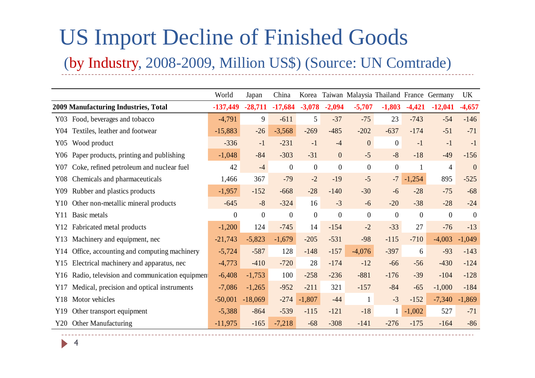### US Import Decline of Finished Goods (by Industry, 2008-2009, Million US\$) (Source: UN Comtrade)

|     |                                               | World          | Japan     | China          | Korea            |                  |                |                  |                  | Taiwan Malaysia Thailand France Germany | UK             |
|-----|-----------------------------------------------|----------------|-----------|----------------|------------------|------------------|----------------|------------------|------------------|-----------------------------------------|----------------|
|     | 2009 Manufacturing Industries, Total          | $-137,449$     | $-28,711$ | $-17,684$      | $-3,078$         | $-2,094$         | $-5,707$       | $-1,803$         | $-4,421$         | $-12,041$                               | $-4,657$       |
|     | Y03 Food, beverages and tobacco               | $-4,791$       | 9         | $-611$         | 5 <sup>5</sup>   | $-37$            | $-75$          | 23               | $-743$           | $-54$                                   | $-146$         |
| Y04 | Textiles, leather and footwear                | $-15,883$      | $-26$     | $-3,568$       | $-269$           | $-485$           | $-202$         | $-637$           | $-174$           | $-51$                                   | $-71$          |
| Y05 | Wood product                                  | $-336$         | $-1$      | $-231$         | $-1$             | $-4$             | $\overline{0}$ | $\boldsymbol{0}$ | $-1$             | $-1$                                    | $-1$           |
| Y06 | Paper products, printing and publishing       | $-1,048$       | $-84$     | $-303$         | $-31$            | $\overline{0}$   | $-5$           | $-8$             | $-18$            | $-49$                                   | $-156$         |
| Y07 | Coke, refined petroleum and nuclear fuel      | 42             | $-4$      | $\overline{0}$ | $\overline{0}$   | $\boldsymbol{0}$ | $\overline{0}$ | $\boldsymbol{0}$ | 1                | 4                                       | $\overline{0}$ |
| Y08 | Chemicals and pharmaceuticals                 | 1,466          | 367       | $-79$          | $-2$             | $-19$            | $-5$           | $-7$             | $-1,254$         | 895                                     | $-525$         |
| Y09 | Rubber and plastics products                  | $-1,957$       | $-152$    | $-668$         | $-28$            | $-140$           | $-30$          | $-6$             | $-28$            | $-75$                                   | $-68$          |
| Y10 | Other non-metallic mineral products           | $-645$         | $-8$      | $-324$         | 16               | $-3$             | $-6$           | $-20$            | $-38$            | $-28$                                   | $-24$          |
| Y11 | Basic metals                                  | $\overline{0}$ | $\theta$  | $\overline{0}$ | $\boldsymbol{0}$ | $\boldsymbol{0}$ | $\theta$       | $\boldsymbol{0}$ | $\boldsymbol{0}$ | $\boldsymbol{0}$                        | $\theta$       |
| Y12 | Fabricated metal products                     | $-1,200$       | 124       | $-745$         | 14               | $-154$           | $-2$           | $-33$            | 27               | $-76$                                   | $-13$          |
| Y13 | Machinery and equipment, nec                  | $-21,743$      | $-5,823$  | $-1,679$       | $-205$           | $-531$           | $-98$          | $-115$           | $-710$           | $-4,003$                                | $-1,049$       |
| Y14 | Office, accounting and computing machinery    | $-5,724$       | $-587$    | 128            | $-148$           | $-157$           | $-4,076$       | $-397$           | 6                | $-93$                                   | $-143$         |
| Y15 | Electrical machinery and apparatus, nec       | $-4,773$       | $-410$    | $-720$         | 28               | $-174$           | $-12$          | $-66$            | $-56$            | $-430$                                  | $-124$         |
| Y16 | Radio, television and communication equipment | $-6,408$       | $-1,753$  | 100            | $-258$           | $-236$           | $-881$         | $-176$           | $-39$            | $-104$                                  | $-128$         |
| Y17 | Medical, precision and optical instruments    | $-7,086$       | $-1,265$  | $-952$         | $-211$           | 321              | $-157$         | $-84$            | $-65$            | $-1,000$                                | $-184$         |
| Y18 | Motor vehicles                                | $-50,001$      | $-18,069$ | $-274$         | $-1,807$         | $-44$            | $\mathbf{1}$   | $-3$             | $-152$           | $-7,340$                                | $-1,869$       |
| Y19 | Other transport equipment                     | $-5,388$       | $-864$    | $-539$         | $-115$           | $-121$           | $-18$          | $\mathbf{1}$     | $-1,002$         | 527                                     | $-71$          |
| Y20 | Other Manufacturing                           | $-11,975$      | $-165$    | $-7,218$       | $-68$            | $-308$           | $-141$         | $-276$           | $-175$           | $-164$                                  | $-86$          |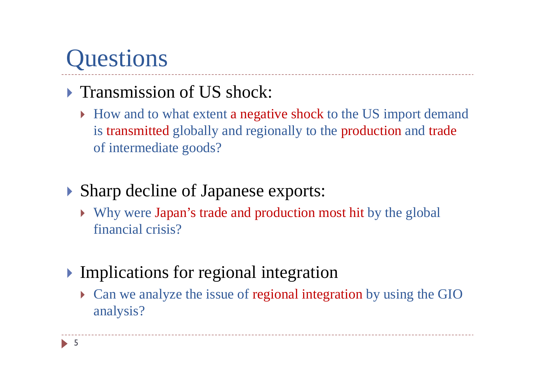# **Questions**

#### **Transmission of US shock:**

How and to what extent a negative shock to the US import demand is transmitted globally and regionally to the production and trade of intermediate goods?

#### Sharp decline of Japanese exports:

- Why were Japan's trade and production most hit by the global financial crisis?
- Implications for regional integration
	- Can we analyze the issue of regional integration by using the GIO analysis?

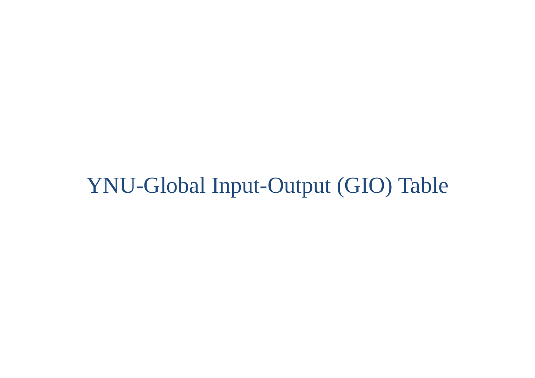### YNU-Global Input-Output (GIO) Table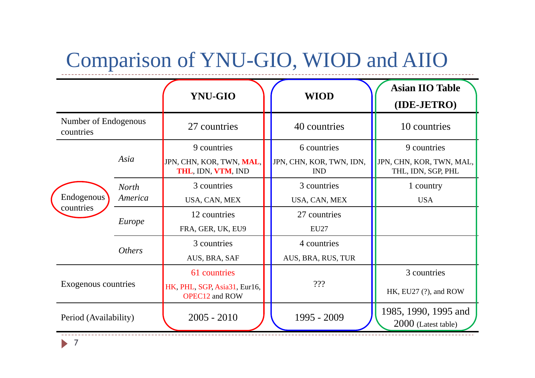### Comparison of YNU-GIO, WIOD and AIIO

|                                   |                         | <b>YNU-GIO</b>                                                        | <b>WIOD</b>                                           | <b>Asian IIO Table</b><br>(IDE-JETRO)                         |
|-----------------------------------|-------------------------|-----------------------------------------------------------------------|-------------------------------------------------------|---------------------------------------------------------------|
| Number of Endogenous<br>countries |                         | 27 countries                                                          | 40 countries                                          | 10 countries                                                  |
|                                   | Asia                    | 9 countries<br>JPN, CHN, KOR, TWN, MAL,<br>THL, IDN, VTM, IND         | 6 countries<br>JPN, CHN, KOR, TWN, IDN,<br><b>IND</b> | 9 countries<br>JPN, CHN, KOR, TWN, MAL,<br>THL, IDN, SGP, PHL |
| Endogenous                        | <b>North</b><br>America | 3 countries<br>USA, CAN, MEX                                          | 3 countries<br>USA, CAN, MEX                          | 1 country<br><b>USA</b>                                       |
| countries                         | Europe                  | 12 countries<br>FRA, GER, UK, EU9                                     | 27 countries<br><b>EU27</b>                           |                                                               |
|                                   | <i><b>Others</b></i>    | 3 countries<br>AUS, BRA, SAF                                          | 4 countries<br>AUS, BRA, RUS, TUR                     |                                                               |
| Exogenous countries               |                         | 61 countries<br>HK, PHL, SGP, Asia31, Eur16,<br><b>OPEC12 and ROW</b> | 222                                                   | 3 countries<br>HK, EU27 (?), and ROW                          |
| Period (Availability)             |                         | $2005 - 2010$                                                         | 1995 - 2009                                           | 1985, 1990, 1995 and<br>2000 (Latest table)                   |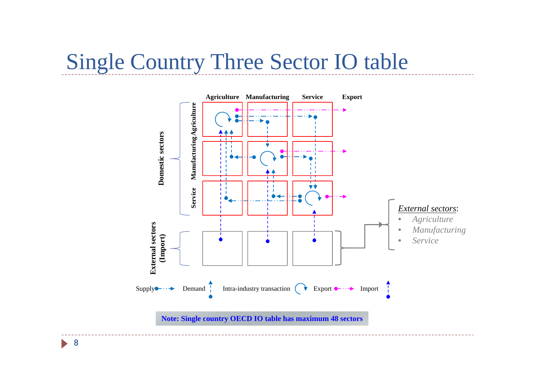#### Single Country Three Sector IO table

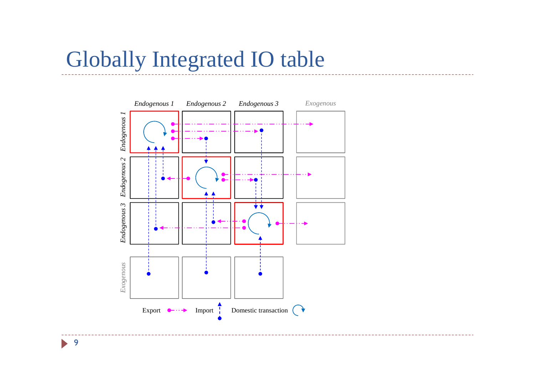### Globally Integrated IO table

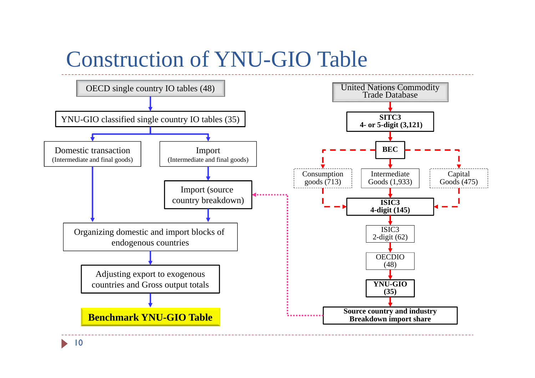### Construction of YNU-GIO Table

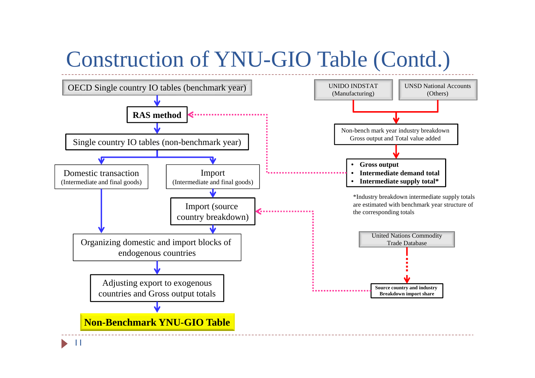## Construction of YNU-GIO Table (Contd.)

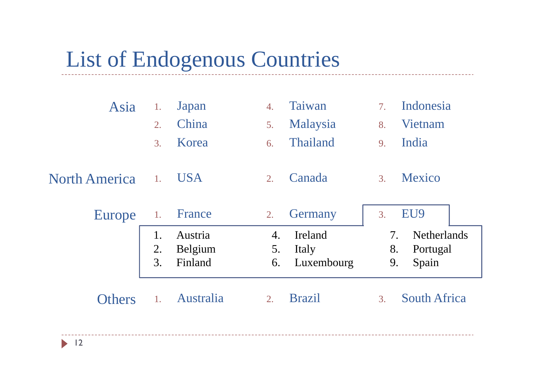### List of Endogenous Countries

| Asia                 | 1.               | Japan      | 4. | Taiwan        | 7. | Indonesia           |  |
|----------------------|------------------|------------|----|---------------|----|---------------------|--|
|                      | $\overline{2}$ . | China      | 5. | Malaysia      | 8. | Vietnam             |  |
|                      | 3.               | Korea      | 6. | Thailand      | 9. | India               |  |
| <b>North America</b> | 1.               | <b>USA</b> | 2. | Canada        | 3. | Mexico              |  |
| Europe               | 1.               | France     | 2. | Germany       | 3. | EU9                 |  |
|                      | 1.               | Austria    | 4. | Ireland       | 7. | <b>Netherlands</b>  |  |
|                      | 2.               | Belgium    | 5. | Italy         | 8. | Portugal            |  |
|                      | 3.               | Finland    | 6. | Luxembourg    | 9. | Spain               |  |
| <b>Others</b>        | 1.               | Australia  | 2. | <b>Brazil</b> | 3. | <b>South Africa</b> |  |
|                      |                  |            |    |               |    |                     |  |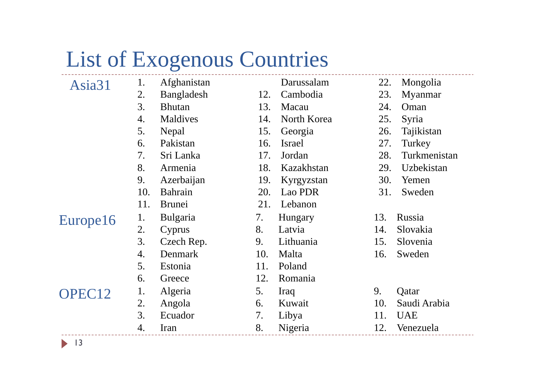## List of Exogenous Countries

| Asia31             | 1.  | Afghanistan     |     | Darussalam    | 22. | Mongolia     |
|--------------------|-----|-----------------|-----|---------------|-----|--------------|
|                    | 2.  | Bangladesh      | 12. | Cambodia      | 23. | Myanmar      |
|                    | 3.  | <b>Bhutan</b>   | 13. | Macau         | 24. | Oman         |
|                    | 4.  | Maldives        | 14. | North Korea   | 25. | Syria        |
|                    | 5.  | Nepal           | 15. | Georgia       | 26. | Tajikistan   |
|                    | 6.  | Pakistan        | 16. | <b>Israel</b> | 27. | Turkey       |
|                    | 7.  | Sri Lanka       | 17. | Jordan        | 28. | Turkmenistan |
|                    | 8.  | Armenia         | 18. | Kazakhstan    | 29. | Uzbekistan   |
|                    | 9.  | Azerbaijan      | 19. | Kyrgyzstan    | 30. | Yemen        |
|                    | 10. | Bahrain         | 20. | Lao PDR       | 31. | Sweden       |
|                    | 11. | <b>Brunei</b>   | 21. | Lebanon       |     |              |
| Europe16           | 1.  | <b>Bulgaria</b> | 7.  | Hungary       | 13. | Russia       |
|                    | 2.  | Cyprus          | 8.  | Latvia        | 14. | Slovakia     |
|                    | 3.  | Czech Rep.      | 9.  | Lithuania     | 15. | Slovenia     |
|                    | 4.  | Denmark         | 10. | Malta         | 16. | Sweden       |
|                    | 5.  | Estonia         | 11. | Poland        |     |              |
|                    | 6.  | Greece          | 12. | Romania       |     |              |
| OPEC <sub>12</sub> | 1.  | Algeria         | 5.  | Iraq          | 9.  | Qatar        |
|                    | 2.  | Angola          | 6.  | Kuwait        | 10. | Saudi Arabia |
|                    | 3.  | Ecuador         | 7.  | Libya         | 11. | <b>UAE</b>   |
|                    | 4.  | Iran            | 8.  | Nigeria       | 12. | Venezuela    |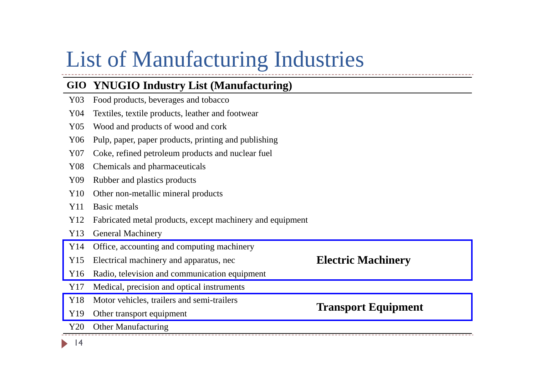## List of Manufacturing Industries

#### **GIO YNUGIO Industry List (Manufacturing)**

- Y03 Food products, beverages and tobacco
- Y04 Textiles, textile products, leather and footwear
- Y05 Wood and products of wood and cork
- Y06 Pulp, paper, paper products, printing and publishing
- Y07 Coke, refined petroleum products and nuclear fuel
- Y08 Chemicals and pharmaceuticals
- Y09 Rubber and plastics products
- Y10 Other non-metallic mineral products
- Y11 Basic metals
- Y12 Fabricated metal products, except machinery and equipment
- Y13 General Machinery
- Y14 Office, accounting and computing machinery
- Y15 Electrical machinery and apparatus, nec **Electric Machinery**
- Y16 Radio, television and communication equipment
- Y17 Medical, precision and optical instruments
- Y18 Motor vehicles, trailers and semi-trailers **Transport Equipment** Y19 Other transport equipment
- 
- Y20 Other Manufacturing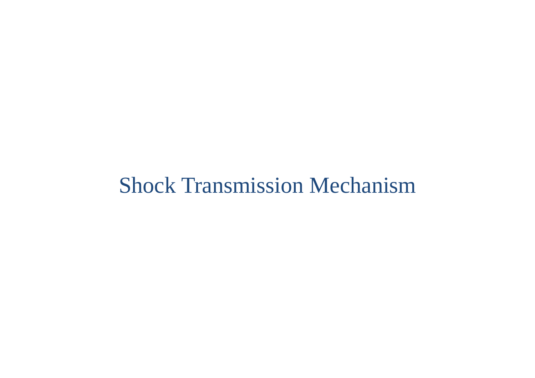### Shock Transmission Mechanism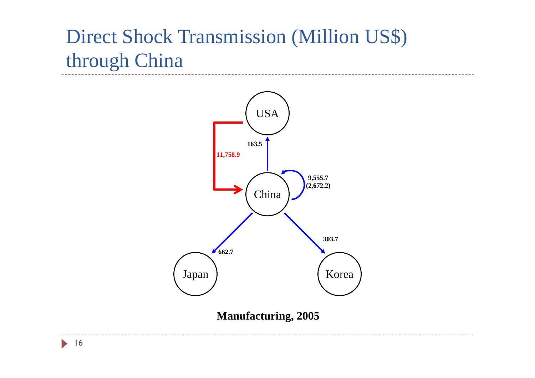### Direct Shock Transmission (Million US\$) through China



**Manufacturing, 2005**

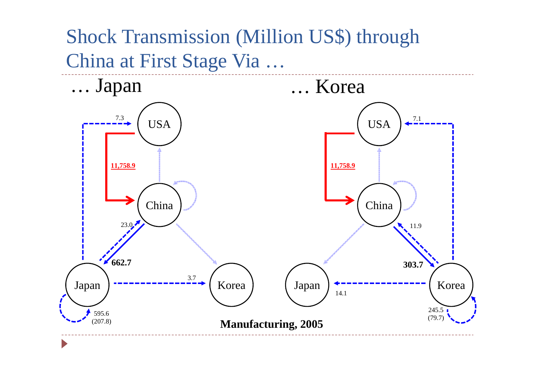Shock Transmission (Million US\$) through China at First Stage Via …

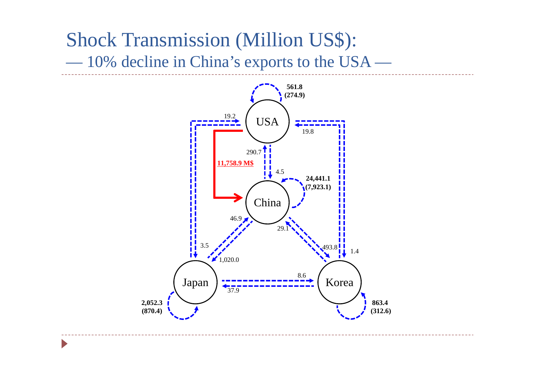#### Shock Transmission (Million US\$): ———————————————————— 10% decline in China's exports to the USA —

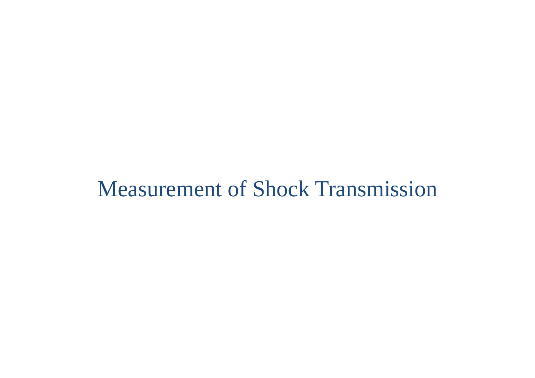### Measurement of Shock Transmission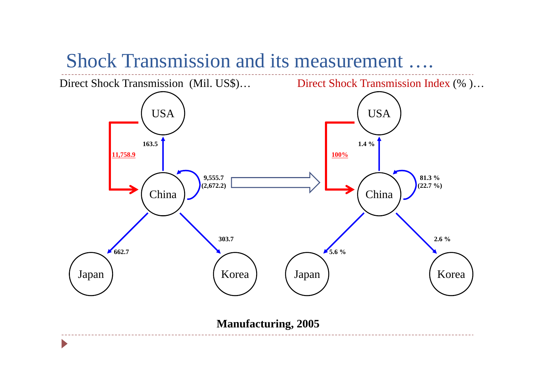#### Shock Transmission and its measurement ….

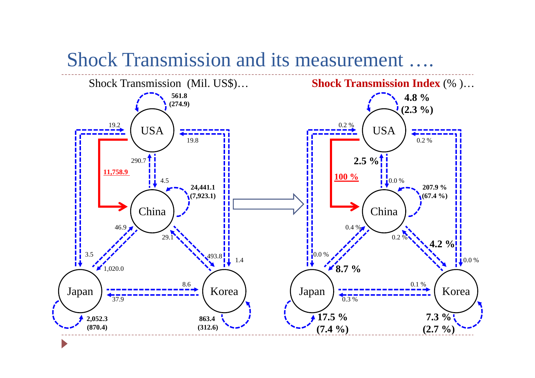#### Shock Transmission and its measurement ….

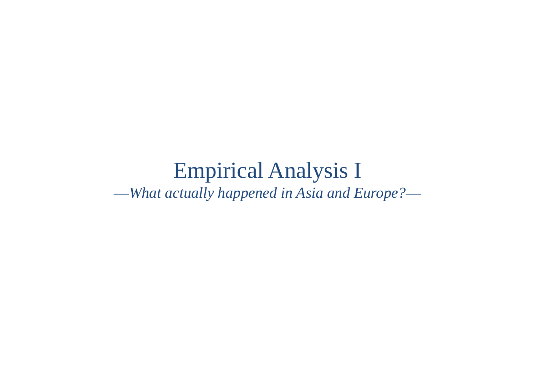#### Empirical Analysis I —*What actually happened in Asia and Europe?*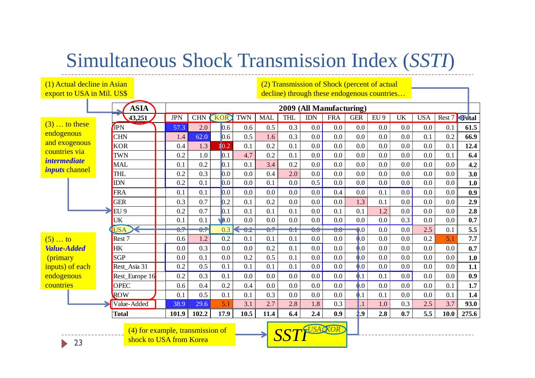#### Simultaneous Shock Transmission Index (*SSTI*)

**ASIA43,251 J** JPN CHN (KOR) TWN | MAL | THL | IDN | FRA | GER | EU 9 | UK | USA | Rest 7 <del>Co</del>tal JPN 57.3 2.0 0.6 0.6 0.5 0.3 0.0 0.0 0.0 0.0 0.0 0.0 0.1 **61.5** $\overline{\text{CHN}}$   $\overline{\text{1.4}}$  62.0 0.6 0.5 1.6 0.3 0.0 0.0 0.0 0.0 0.0 0.1 0.2 **66.9** $\begin{array}{|c|c|c|c|c|c|c|c|} \hline \text{KOR} & & 0.4 & 1.3 \\ \hline \end{array}$  10.2 0.1 0.2 0.1 0.0 0.0 0.0 0.0 0.0 0.0 0.1 **12.4**TWN 0.2 1.0 0.1 4.7 0.2 0.1 0.0 0.0 0.0 0.0 0.0 0.0 0.1 **6.4** MAL 1 0.1 0.2 0.1 0.1 3.4 0.2 0.0 0.0 0.0 0.0 0.0 0.0 0.0 0.0 | 4.2 THL 0.2 0.3 0.0 0.0 0.4 2.0 0.0 0.0 0.0 0.0 0.0 0.0 0.0 **3.0**IDN 0.2 0.1 0.0 0.0 0.1 0.0 0.5 0.0 0.0 0.0 0.0 0.0 0.0 $0.0$  | 1.0 FRA 0.1 0.1 0.0 0.0 0.0 0.0 0.0 0.4 0.0 0.1 0.0 0.0 0.0 **0.9**GER 1 0.3 0.7 0.2 0.1 0.2 0.0 0.0 0.0 1.3 0.1 0.0 0.0 0.0  $\overline{0.0}$  2.9 EU 9 0.2 0.7 0.1 0.1 0.1 0.1 0.0 0.1 0.1 1.2 0.0 0.0 0.0 **2.8**UK 0.1 0.1 0.0 0.0 0.0 0.0 0.0 0.0 0.0 0.0 0.3 0.0 0.0 **0.7** USA 0.7 0.7 0.3 0.2 0.7 0.1 0.0 0.0 0.0 0.0 0.0 2.5 0.1 $0.1$  5.5 Rest 7 **1** 0.6 1.2 0.2 0.1 0.1 0.1 0.0 0.0 0.0 0.0 0.0 0.2 5.1 **7.7**HK 0.0 0.3 0.0 0.0 0.2 0.1 0.0 0.0 0.0 0.0 0.0 0.0 0.0 **0.7** $SGP$  1 0.0 0.1 0.0 0.2 0.5 0.1 0.0 0.0 0.0 0.0 0.0 0.0 0.0 **1.0** Rest\_Asia 31 0.2 0.5 0.1 0.1 0.1 0.1 0.0 0.0 0.0 0.0 0.0 0.0 0.0 **1.1 Rest\_Europe 16** | 0.2 | 0.3 | 0.1 | 0.0 | 0.0 | 0.0 | 0.0 | 0.0 | 0.1 | 0.0 | 0.0 | 0.0 | 0.9 OPEC 0.6 0.4 0.2 0.4 0.0 0.0 0.0 0.0 0.0 0.0 0.0 0.0 0.1 **1.7** ROW 1 0.1 0.5 0.1 0.1 0.3 0.0 0.0 0.0 0.1 0.1 0.0 0.0 0.1  $0.1$  1.4 Value-Added 38.9 29.6 5.1 3.1 2.7 2.8 1.8 0.3 1.1 1.0 0.3 2.5 3.7 **93.0** $93.0$ Total | 101.9 | 102.2 | 17.9 | 10.5 | 11.4 | 6.4 | 2.4 | 0.9 | 1.9 | 2.8 | 0.7 | 5.5 | 10.0 | 275.6 **2009 (All Manufacturing)** (1) Actual decline in Asian export to USA in Mil. US\$ (2) Transmission of Shock (percent of actual decline) through these endogenous countries…  $(3)$   $\dots$  to these endogenous and exogenous countries via *intermediate inputs* channel  $(5)$  … to *Value-Added* (primary inputs) of each endogenous countries

(4) for example, transmission of **SSTI** (4) for example, transmission of **CORP** shock to USA from Korea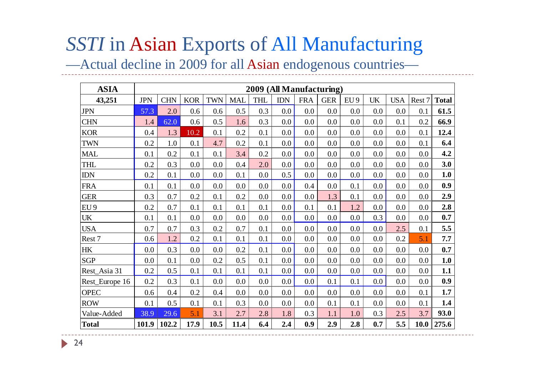### *SSTI* in Asian Exports of All Manufacturing

—Actual decline in 2009 for all Asian endogenous countries—

| <b>ASIA</b>     |            |           |            |            |            | 2009 (All Manufacturing) |            |            |            |                 |           |            |        |              |
|-----------------|------------|-----------|------------|------------|------------|--------------------------|------------|------------|------------|-----------------|-----------|------------|--------|--------------|
| 43,251          | <b>JPN</b> | $\rm CHN$ | <b>KOR</b> | <b>TWN</b> | <b>MAL</b> | <b>THL</b>               | <b>IDN</b> | <b>FRA</b> | <b>GER</b> | EU <sub>9</sub> | <b>UK</b> | <b>USA</b> | Rest 7 | <b>Total</b> |
| <b>JPN</b>      | 57.3       | 2.0       | 0.6        | 0.6        | 0.5        | 0.3                      | 0.0        | 0.0        | 0.0        | 0.0             | 0.0       | 0.0        | 0.1    | 61.5         |
| <b>CHN</b>      | 1.4        | 62.0      | 0.6        | 0.5        | 1.6        | 0.3                      | 0.0        | 0.0        | 0.0        | 0.0             | 0.0       | 0.1        | 0.2    | 66.9         |
| <b>KOR</b>      | 0.4        | 1.3       | 10.2       | 0.1        | 0.2        | 0.1                      | 0.0        | 0.0        | $0.0\,$    | 0.0             | 0.0       | 0.0        | 0.1    | 12.4         |
| <b>TWN</b>      | 0.2        | 1.0       | 0.1        | 4.7        | 0.2        | 0.1                      | 0.0        | 0.0        | $0.0\,$    | 0.0             | 0.0       | 0.0        | 0.1    | 6.4          |
| <b>MAL</b>      | 0.1        | 0.2       | 0.1        | 0.1        | 3.4        | 0.2                      | 0.0        | 0.0        | 0.0        | 0.0             | 0.0       | 0.0        | 0.0    | 4.2          |
| THL             | 0.2        | 0.3       | 0.0        | 0.0        | 0.4        | 2.0                      | 0.0        | 0.0        | 0.0        | 0.0             | 0.0       | 0.0        | 0.0    | 3.0          |
| <b>IDN</b>      | 0.2        | 0.1       | 0.0        | 0.0        | 0.1        | 0.0                      | 0.5        | 0.0        | 0.0        | 0.0             | 0.0       | 0.0        | 0.0    | 1.0          |
| <b>FRA</b>      | 0.1        | 0.1       | 0.0        | 0.0        | 0.0        | 0.0                      | 0.0        | 0.4        | 0.0        | 0.1             | 0.0       | 0.0        | 0.0    | 0.9          |
| <b>GER</b>      | 0.3        | 0.7       | 0.2        | 0.1        | 0.2        | 0.0                      | 0.0        | 0.0        | 1.3        | 0.1             | 0.0       | 0.0        | 0.0    | 2.9          |
| EU <sub>9</sub> | 0.2        | 0.7       | 0.1        | 0.1        | 0.1        | 0.1                      | 0.0        | 0.1        | 0.1        | 1.2             | 0.0       | 0.0        | 0.0    | 2.8          |
| <b>UK</b>       | 0.1        | 0.1       | 0.0        | 0.0        | 0.0        | 0.0                      | 0.0        | 0.0        | 0.0        | 0.0             | 0.3       | 0.0        | 0.0    | 0.7          |
| <b>USA</b>      | 0.7        | 0.7       | 0.3        | 0.2        | 0.7        | 0.1                      | 0.0        | 0.0        | 0.0        | 0.0             | 0.0       | 2.5        | 0.1    | 5.5          |
| Rest 7          | 0.6        | 1.2       | 0.2        | 0.1        | 0.1        | 0.1                      | 0.0        | 0.0        | $0.0\,$    | 0.0             | 0.0       | 0.2        | 5.1    | 7.7          |
| HK              | 0.0        | 0.3       | 0.0        | 0.0        | 0.2        | 0.1                      | 0.0        | 0.0        | $0.0\,$    | 0.0             | 0.0       | 0.0        | 0.0    | 0.7          |
| <b>SGP</b>      | 0.0        | 0.1       | 0.0        | 0.2        | 0.5        | 0.1                      | 0.0        | 0.0        | $0.0\,$    | $0.0\,$         | 0.0       | 0.0        | 0.0    | 1.0          |
| Rest_Asia 31    | 0.2        | 0.5       | 0.1        | 0.1        | 0.1        | 0.1                      | 0.0        | 0.0        | $0.0\,$    | 0.0             | 0.0       | 0.0        | 0.0    | 1.1          |
| Rest_Europe 16  | 0.2        | 0.3       | 0.1        | 0.0        | 0.0        | 0.0                      | $0.0\,$    | 0.0        | 0.1        | 0.1             | $0.0\,$   | 0.0        | 0.0    | 0.9          |
| <b>OPEC</b>     | 0.6        | 0.4       | 0.2        | 0.4        | 0.0        | 0.0                      | 0.0        | 0.0        | $0.0\,$    | 0.0             | 0.0       | 0.0        | 0.1    | 1.7          |
| <b>ROW</b>      | 0.1        | 0.5       | 0.1        | 0.1        | 0.3        | 0.0                      | 0.0        | 0.0        | 0.1        | 0.1             | 0.0       | 0.0        | 0.1    | 1.4          |
| Value-Added     | 38.9       | 29.6      | 5.1        | 3.1        | 2.7        | 2.8                      | 1.8        | 0.3        | 1.1        | 1.0             | 0.3       | 2.5        | 3.7    | 93.0         |
| <b>Total</b>    | 101.9      | 102.2     | 17.9       | 10.5       | 11.4       | 6.4                      | 2.4        | 0.9        | 2.9        | 2.8             | 0.7       | 5.5        | 10.0   | 275.6        |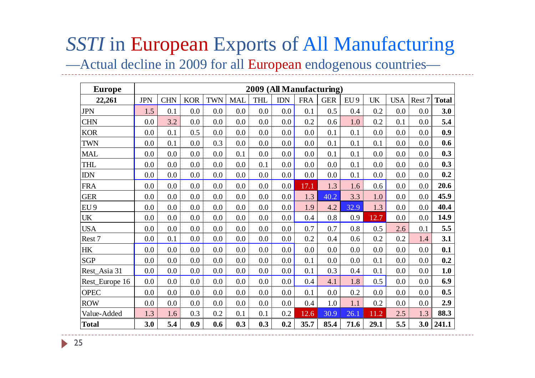# *SSTI* in European Exports of All Manufacturing

—Actual decline in 2009 for all European endogenous countries—

| <b>Europe</b>   |            |            |            |            |            |            |            |            | 2009 (All Manufacturing) |                 |           |            |        |              |
|-----------------|------------|------------|------------|------------|------------|------------|------------|------------|--------------------------|-----------------|-----------|------------|--------|--------------|
| 22,261          | <b>JPN</b> | <b>CHN</b> | <b>KOR</b> | <b>TWN</b> | <b>MAL</b> | <b>THL</b> | <b>IDN</b> | <b>FRA</b> | <b>GER</b>               | EU <sub>9</sub> | <b>UK</b> | <b>USA</b> | Rest 7 | <b>Total</b> |
| <b>JPN</b>      | 1.5        | 0.1        | 0.0        | 0.0        | 0.0        | 0.0        | 0.0        | 0.1        | 0.5                      | 0.4             | 0.2       | 0.0        | 0.0    | 3.0          |
| <b>CHN</b>      | 0.0        | 3.2        | 0.0        | 0.0        | 0.0        | 0.0        | 0.0        | 0.2        | 0.6                      | 1.0             | 0.2       | 0.1        | 0.0    | 5.4          |
| <b>KOR</b>      | 0.0        | 0.1        | 0.5        | 0.0        | 0.0        | 0.0        | 0.0        | 0.0        | 0.1                      | 0.1             | 0.0       | 0.0        | 0.0    | 0.9          |
| <b>TWN</b>      | 0.0        | 0.1        | 0.0        | 0.3        | 0.0        | 0.0        | 0.0        | 0.0        | 0.1                      | 0.1             | 0.1       | 0.0        | 0.0    | 0.6          |
| <b>MAL</b>      | 0.0        | 0.0        | 0.0        | 0.0        | 0.1        | 0.0        | 0.0        | 0.0        | 0.1                      | 0.1             | 0.0       | 0.0        | 0.0    | 0.3          |
| THL             | 0.0        | 0.0        | 0.0        | 0.0        | 0.0        | 0.1        | 0.0        | 0.0        | 0.0                      | 0.1             | 0.0       | 0.0        | 0.0    | 0.3          |
| <b>IDN</b>      | 0.0        | 0.0        | 0.0        | 0.0        | 0.0        | 0.0        | 0.0        | 0.0        | 0.0                      | 0.1             | 0.0       | 0.0        | 0.0    | 0.2          |
| <b>FRA</b>      | 0.0        | 0.0        | 0.0        | 0.0        | 0.0        | 0.0        | 0.0        | 17.1       | 1.3                      | 1.6             | 0.6       | 0.0        | 0.0    | 20.6         |
| <b>GER</b>      | 0.0        | 0.0        | 0.0        | 0.0        | 0.0        | 0.0        | 0.0        | 1.3        | 40.2                     | 3.3             | 1.0       | 0.0        | 0.0    | 45.9         |
| EU <sub>9</sub> | 0.0        | 0.0        | 0.0        | 0.0        | 0.0        | 0.0        | 0.0        | 1.9        | 4.2                      | 32.9            | 1.3       | 0.0        | 0.0    | 40.4         |
| <b>UK</b>       | 0.0        | 0.0        | 0.0        | 0.0        | 0.0        | 0.0        | 0.0        | 0.4        | 0.8                      | 0.9             | 12.7      | 0.0        | 0.0    | 14.9         |
| <b>USA</b>      | 0.0        | 0.0        | 0.0        | 0.0        | 0.0        | 0.0        | 0.0        | 0.7        | 0.7                      | 0.8             | 0.5       | 2.6        | 0.1    | 5.5          |
| Rest 7          | 0.0        | 0.1        | 0.0        | 0.0        | 0.0        | 0.0        | 0.0        | 0.2        | 0.4                      | 0.6             | 0.2       | 0.2        | 1.4    | 3.1          |
| <b>HK</b>       | 0.0        | 0.0        | 0.0        | 0.0        | 0.0        | 0.0        | 0.0        | 0.0        | 0.0                      | 0.0             | 0.0       | 0.0        | 0.0    | 0.1          |
| <b>SGP</b>      | 0.0        | 0.0        | $0.0\,$    | 0.0        | 0.0        | 0.0        | 0.0        | 0.1        | 0.0                      | 0.0             | 0.1       | 0.0        | 0.0    | 0.2          |
| Rest_Asia 31    | 0.0        | 0.0        | 0.0        | 0.0        | 0.0        | 0.0        | 0.0        | 0.1        | 0.3                      | 0.4             | 0.1       | 0.0        | 0.0    | 1.0          |
| Rest_Europe 16  | 0.0        | 0.0        | 0.0        | 0.0        | 0.0        | 0.0        | 0.0        | 0.4        | 4.1                      | 1.8             | 0.5       | 0.0        | 0.0    | 6.9          |
| <b>OPEC</b>     | 0.0        | 0.0        | 0.0        | 0.0        | 0.0        | 0.0        | 0.0        | 0.1        | 0.0                      | 0.2             | 0.0       | 0.0        | 0.0    | 0.5          |
| <b>ROW</b>      | 0.0        | 0.0        | 0.0        | 0.0        | 0.0        | 0.0        | 0.0        | 0.4        | 1.0                      | 1.1             | 0.2       | 0.0        | 0.0    | 2.9          |
| Value-Added     | 1.3        | 1.6        | 0.3        | 0.2        | 0.1        | 0.1        | $0.2\,$    | 12.6       | 30.9                     | 26.1            | 11.2      | 2.5        | 1.3    | 88.3         |
| <b>Total</b>    | 3.0        | 5.4        | 0.9        | 0.6        | 0.3        | 0.3        | 0.2        | 35.7       | 85.4                     | 71.6            | 29.1      | 5.5        | 3.0    | 241.1        |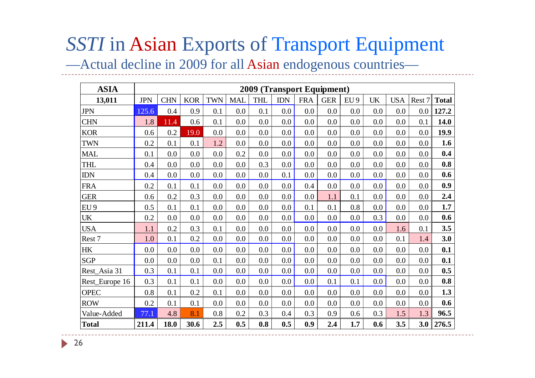#### *SSTI* in Asian Exports of Transport Equipment

—Actual decline in 2009 for all Asian endogenous countries—

| <b>ASIA</b>                     |            |            |            |            |            | 2009 (Transport Equipment) |            |            |            |                 |           |            |        |              |
|---------------------------------|------------|------------|------------|------------|------------|----------------------------|------------|------------|------------|-----------------|-----------|------------|--------|--------------|
| 13,011                          | <b>JPN</b> | <b>CHN</b> | <b>KOR</b> | <b>TWN</b> | <b>MAL</b> | <b>THL</b>                 | <b>IDN</b> | <b>FRA</b> | <b>GER</b> | EU <sub>9</sub> | <b>UK</b> | <b>USA</b> | Rest 7 | <b>Total</b> |
| <b>JPN</b>                      | 125.6      | 0.4        | 0.9        | 0.1        | 0.0        | 0.1                        | 0.0        | 0.0        | 0.0        | 0.0             | 0.0       | 0.0        | 0.0    | 127.2        |
| <b>CHN</b>                      | 1.8        | 11.4       | 0.6        | 0.1        | 0.0        | 0.0                        | 0.0        | 0.0        | 0.0        | 0.0             | 0.0       | 0.0        | 0.1    | 14.0         |
| <b>KOR</b>                      | 0.6        | 0.2        | 19.0       | 0.0        | 0.0        | 0.0                        | 0.0        | 0.0        | 0.0        | 0.0             | 0.0       | 0.0        | 0.0    | 19.9         |
| <b>TWN</b>                      | 0.2        | 0.1        | 0.1        | 1.2        | 0.0        | 0.0                        | 0.0        | 0.0        | 0.0        | 0.0             | 0.0       | 0.0        | 0.0    | 1.6          |
| <b>MAL</b>                      | 0.1        | 0.0        | 0.0        | 0.0        | 0.2        | 0.0                        | 0.0        | 0.0        | 0.0        | 0.0             | 0.0       | 0.0        | 0.0    | 0.4          |
| <b>THL</b>                      | 0.4        | 0.0        | 0.0        | 0.0        | 0.0        | 0.3                        | 0.0        | 0.0        | 0.0        | 0.0             | 0.0       | 0.0        | 0.0    | 0.8          |
| $IDN$                           | 0.4        | 0.0        | 0.0        | 0.0        | 0.0        | 0.0                        | 0.1        | 0.0        | 0.0        | 0.0             | 0.0       | 0.0        | 0.0    | 0.6          |
| <b>FRA</b>                      | 0.2        | 0.1        | 0.1        | 0.0        | 0.0        | 0.0                        | 0.0        | 0.4        | 0.0        | 0.0             | 0.0       | 0.0        | 0.0    | 0.9          |
| <b>GER</b>                      | 0.6        | 0.2        | 0.3        | 0.0        | 0.0        | 0.0                        | 0.0        | 0.0        | 1.1        | 0.1             | 0.0       | 0.0        | 0.0    | 2.4          |
| EU <sub>9</sub>                 | 0.5        | 0.1        | 0.1        | 0.0        | 0.0        | 0.0                        | 0.0        | 0.1        | 0.1        | 0.8             | 0.0       | 0.0        | 0.0    | 1.7          |
| $\ensuremath{\text{UK}}\xspace$ | 0.2        | 0.0        | 0.0        | 0.0        | 0.0        | 0.0                        | 0.0        | 0.0        | 0.0        | 0.0             | 0.3       | 0.0        | 0.0    | 0.6          |
| <b>USA</b>                      | 1.1        | 0.2        | 0.3        | 0.1        | 0.0        | 0.0                        | 0.0        | 0.0        | 0.0        | 0.0             | 0.0       | 1.6        | 0.1    | 3.5          |
| Rest 7                          | 1.0        | 0.1        | 0.2        | 0.0        | 0.0        | 0.0                        | 0.0        | 0.0        | 0.0        | 0.0             | 0.0       | 0.1        | 1.4    | 3.0          |
| $\rm{HK}$                       | 0.0        | 0.0        | 0.0        | 0.0        | 0.0        | 0.0                        | 0.0        | 0.0        | 0.0        | 0.0             | 0.0       | 0.0        | 0.0    | 0.1          |
| <b>SGP</b>                      | $0.0\,$    | 0.0        | 0.0        | 0.1        | 0.0        | 0.0                        | 0.0        | 0.0        | 0.0        | 0.0             | 0.0       | 0.0        | 0.0    | 0.1          |
| Rest_Asia 31                    | 0.3        | 0.1        | 0.1        | 0.0        | 0.0        | 0.0                        | 0.0        | 0.0        | 0.0        | 0.0             | 0.0       | 0.0        | 0.0    | 0.5          |
| Rest_Europe 16                  | 0.3        | 0.1        | 0.1        | 0.0        | 0.0        | 0.0                        | 0.0        | 0.0        | 0.1        | 0.1             | 0.0       | 0.0        | 0.0    | 0.8          |
| <b>OPEC</b>                     | 0.8        | 0.1        | 0.2        | 0.1        | 0.0        | 0.0                        | 0.0        | 0.0        | 0.0        | 0.0             | 0.0       | 0.0        | 0.0    | 1.3          |
| <b>ROW</b>                      | 0.2        | 0.1        | 0.1        | 0.0        | 0.0        | 0.0                        | 0.0        | 0.0        | 0.0        | 0.0             | 0.0       | 0.0        | 0.0    | 0.6          |
| Value-Added                     | 77.1       | 4.8        | 8.1        | 0.8        | 0.2        | 0.3                        | 0.4        | 0.3        | 0.9        | 0.6             | 0.3       | 1.5        | 1.3    | 96.5         |
| <b>Total</b>                    | 211.4      | 18.0       | 30.6       | 2.5        | 0.5        | 0.8                        | 0.5        | 0.9        | 2.4        | 1.7             | 0.6       | 3.5        | 3.0    | 276.5        |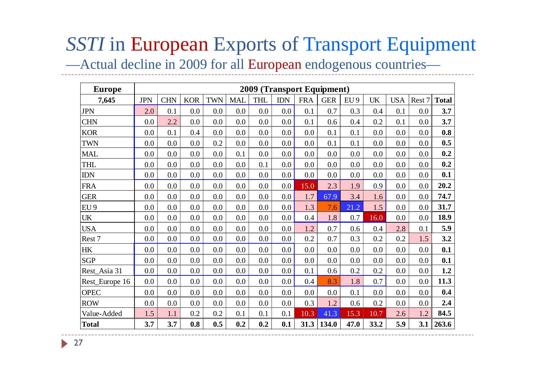# **SSTI** in European Exports of Transport Equipment

—Actual decline in 2009 for all European endogenous countries—

| <b>Europe</b>                   |            |            |            |            |            |            |            | 2009 (Transport Equipment) |            |                 |           |            |         |              |
|---------------------------------|------------|------------|------------|------------|------------|------------|------------|----------------------------|------------|-----------------|-----------|------------|---------|--------------|
| 7,645                           | <b>JPN</b> | <b>CHN</b> | <b>KOR</b> | <b>TWN</b> | <b>MAL</b> | <b>THL</b> | <b>IDN</b> | <b>FRA</b>                 | <b>GER</b> | EU <sub>9</sub> | <b>UK</b> | <b>USA</b> | Rest 7  | <b>Total</b> |
| <b>JPN</b>                      | 2.0        | 0.1        | 0.0        | 0.0        | 0.0        | 0.0        | 0.0        | 0.1                        | 0.7        | 0.3             | 0.4       | 0.1        | $0.0\,$ | 3.7          |
| <b>CHN</b>                      | 0.0        | 2.2        | 0.0        | 0.0        | 0.0        | 0.0        | 0.0        | 0.1                        | 0.6        | 0.4             | 0.2       | 0.1        | 0.0     | 3.7          |
| <b>KOR</b>                      | 0.0        | 0.1        | 0.4        | 0.0        | 0.0        | 0.0        | 0.0        | $0.0\,$                    | 0.1        | 0.1             | 0.0       | 0.0        | 0.0     | 0.8          |
| <b>TWN</b>                      | 0.0        | 0.0        | 0.0        | 0.2        | 0.0        | 0.0        | 0.0        | 0.0                        | 0.1        | 0.1             | 0.0       | 0.0        | 0.0     | 0.5          |
| <b>MAL</b>                      | 0.0        | 0.0        | 0.0        | 0.0        | 0.1        | 0.0        | 0.0        | 0.0                        | 0.0        | 0.0             | 0.0       | 0.0        | 0.0     | 0.2          |
| THL                             | 0.0        | 0.0        | 0.0        | 0.0        | 0.0        | 0.1        | 0.0        | 0.0                        | 0.0        | 0.0             | 0.0       | 0.0        | 0.0     | 0.2          |
| <b>IDN</b>                      | 0.0        | 0.0        | 0.0        | 0.0        | 0.0        | 0.0        | 0.0        | 0.0                        | 0.0        | 0.0             | 0.0       | 0.0        | $0.0\,$ | 0.1          |
| <b>FRA</b>                      | 0.0        | 0.0        | 0.0        | 0.0        | 0.0        | 0.0        | 0.0        | 15.0                       | 2.3        | 1.9             | 0.9       | 0.0        | 0.0     | 20.2         |
| <b>GER</b>                      | 0.0        | 0.0        | 0.0        | 0.0        | 0.0        | 0.0        | 0.0        | 1.7                        | 67.9       | 3.4             | 1.6       | 0.0        | 0.0     | 74.7         |
| EU <sub>9</sub>                 | 0.0        | 0.0        | 0.0        | 0.0        | 0.0        | 0.0        | 0.0        | 1.3                        | 7.6        | 21.2            | 1.5       | 0.0        | $0.0\,$ | 31.7         |
| $\ensuremath{\text{UK}}\xspace$ | 0.0        | 0.0        | 0.0        | 0.0        | 0.0        | 0.0        | 0.0        | 0.4                        | 1.8        | 0.7             | 16.0      | 0.0        | 0.0     | 18.9         |
| <b>USA</b>                      | 0.0        | 0.0        | 0.0        | 0.0        | 0.0        | 0.0        | 0.0        | 1.2                        | 0.7        | 0.6             | 0.4       | 2.8        | 0.1     | 5.9          |
| Rest 7                          | 0.0        | 0.0        | 0.0        | 0.0        | 0.0        | $0.0\,$    | 0.0        | 0.2                        | 0.7        | 0.3             | 0.2       | 0.2        | 1.5     | 3.2          |
| HK                              | 0.0        | 0.0        | 0.0        | 0.0        | 0.0        | 0.0        | 0.0        | 0.0                        | 0.0        | 0.0             | 0.0       | 0.0        | 0.0     | 0.1          |
| <b>SGP</b>                      | 0.0        | 0.0        | 0.0        | 0.0        | 0.0        | 0.0        | 0.0        | 0.0                        | 0.0        | 0.0             | 0.0       | 0.0        | $0.0\,$ | 0.1          |
| Rest_Asia 31                    | 0.0        | 0.0        | 0.0        | 0.0        | 0.0        | $0.0\,$    | 0.0        | 0.1                        | 0.6        | 0.2             | 0.2       | 0.0        | 0.0     | 1.2          |
| Rest_Europe 16                  | 0.0        | 0.0        | 0.0        | 0.0        | 0.0        | 0.0        | 0.0        | 0.4                        | 8.3        | 1.8             | 0.7       | 0.0        | 0.0     | 11.3         |
| <b>OPEC</b>                     | 0.0        | 0.0        | 0.0        | 0.0        | 0.0        | 0.0        | 0.0        | 0.0                        | 0.0        | 0.1             | 0.0       | 0.0        | 0.0     | 0.4          |
| <b>ROW</b>                      | 0.0        | 0.0        | 0.0        | 0.0        | 0.0        | 0.0        | 0.0        | 0.3                        | 1.2        | 0.6             | 0.2       | 0.0        | 0.0     | 2.4          |
| Value-Added                     | 1.5        | 1.1        | 0.2        | 0.2        | 0.1        | 0.1        | 0.1        | 10.3                       | 41.3       | 15.3            | 10.7      | 2.6        | 1.2     | 84.5         |
| <b>Total</b>                    | 3.7        | 3.7        | 0.8        | 0.5        | 0.2        | 0.2        | 0.1        | 31.3                       | 134.0      | 47.0            | 33.2      | 5.9        | 3.1     | 263.6        |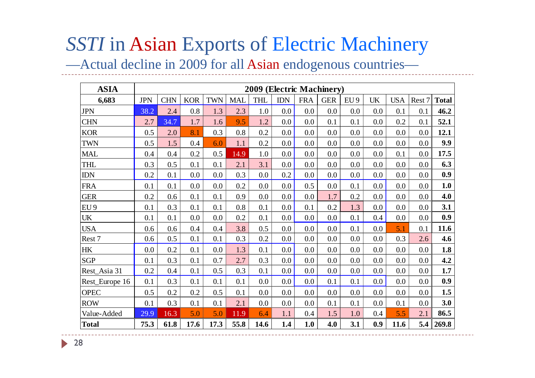#### *SSTI* in Asian Exports of Electric Machinery

—Actual decline in 2009 for all Asian endogenous countries—

| <b>ASIA</b>     |            |            |            |            |            | 2009 (Electric Machinery) |            |            |            |                 |           |            |        |              |
|-----------------|------------|------------|------------|------------|------------|---------------------------|------------|------------|------------|-----------------|-----------|------------|--------|--------------|
| 6,683           | <b>JPN</b> | <b>CHN</b> | <b>KOR</b> | <b>TWN</b> | <b>MAL</b> | THL                       | <b>IDN</b> | <b>FRA</b> | <b>GER</b> | EU <sub>9</sub> | <b>UK</b> | <b>USA</b> | Rest 7 | <b>Total</b> |
| <b>JPN</b>      | 38.2       | 2.4        | 0.8        | 1.3        | 2.3        | 1.0                       | 0.0        | 0.0        | 0.0        | 0.0             | 0.0       | 0.1        | 0.1    | 46.2         |
| <b>CHN</b>      | 2.7        | 34.7       | 1.7        | 1.6        | 9.5        | 1.2                       | 0.0        | 0.0        | 0.1        | 0.1             | 0.0       | 0.2        | 0.1    | 52.1         |
| <b>KOR</b>      | 0.5        | 2.0        | 8.1        | 0.3        | 0.8        | 0.2                       | 0.0        | 0.0        | 0.0        | 0.0             | 0.0       | 0.0        | 0.0    | 12.1         |
| <b>TWN</b>      | 0.5        | 1.5        | 0.4        | 6.0        | 1.1        | 0.2                       | 0.0        | 0.0        | 0.0        | 0.0             | 0.0       | 0.0        | 0.0    | 9.9          |
| <b>MAL</b>      | 0.4        | 0.4        | 0.2        | 0.5        | 14.9       | 1.0                       | 0.0        | 0.0        | 0.0        | 0.0             | 0.0       | 0.1        | 0.0    | 17.5         |
| THL             | 0.3        | 0.5        | 0.1        | 0.1        | 2.1        | 3.1                       | 0.0        | 0.0        | 0.0        | 0.0             | 0.0       | 0.0        | 0.0    | 6.3          |
| <b>IDN</b>      | $0.2\,$    | 0.1        | 0.0        | 0.0        | 0.3        | 0.0                       | 0.2        | 0.0        | 0.0        | 0.0             | 0.0       | 0.0        | 0.0    | 0.9          |
| <b>FRA</b>      | 0.1        | 0.1        | 0.0        | 0.0        | 0.2        | 0.0                       | 0.0        | 0.5        | 0.0        | 0.1             | 0.0       | 0.0        | 0.0    | 1.0          |
| <b>GER</b>      | 0.2        | 0.6        | 0.1        | 0.1        | 0.9        | 0.0                       | 0.0        | 0.0        | 1.7        | 0.2             | 0.0       | 0.0        | 0.0    | 4.0          |
| EU <sub>9</sub> | 0.1        | 0.3        | 0.1        | 0.1        | 0.8        | 0.1                       | 0.0        | 0.1        | 0.2        | 1.3             | 0.0       | 0.0        | 0.0    | 3.1          |
| <b>UK</b>       | 0.1        | 0.1        | 0.0        | 0.0        | 0.2        | 0.1                       | 0.0        | 0.0        | 0.0        | 0.1             | 0.4       | 0.0        | 0.0    | 0.9          |
| <b>USA</b>      | 0.6        | 0.6        | 0.4        | 0.4        | 3.8        | 0.5                       | 0.0        | 0.0        | 0.0        | 0.1             | 0.0       | 5.1        | 0.1    | 11.6         |
| Rest 7          | 0.6        | 0.5        | 0.1        | 0.1        | 0.3        | 0.2                       | 0.0        | 0.0        | $0.0\,$    | 0.0             | 0.0       | 0.3        | 2.6    | 4.6          |
| <b>HK</b>       | 0.0        | 0.2        | 0.1        | 0.0        | 1.3        | 0.1                       | 0.0        | 0.0        | 0.0        | 0.0             | 0.0       | 0.0        | 0.0    | 1.8          |
| <b>SGP</b>      | 0.1        | 0.3        | 0.1        | 0.7        | 2.7        | 0.3                       | 0.0        | 0.0        | 0.0        | 0.0             | 0.0       | 0.0        | 0.0    | 4.2          |
| Rest_Asia 31    | 0.2        | 0.4        | 0.1        | 0.5        | 0.3        | 0.1                       | 0.0        | 0.0        | 0.0        | 0.0             | 0.0       | 0.0        | 0.0    | 1.7          |
| Rest_Europe 16  | 0.1        | 0.3        | 0.1        | 0.1        | 0.1        | 0.0                       | 0.0        | 0.0        | 0.1        | 0.1             | 0.0       | 0.0        | 0.0    | 0.9          |
| <b>OPEC</b>     | 0.5        | 0.2        | 0.2        | 0.5        | 0.1        | 0.0                       | 0.0        | 0.0        | 0.0        | 0.0             | 0.0       | 0.0        | 0.0    | 1.5          |
| <b>ROW</b>      | 0.1        | 0.3        | 0.1        | 0.1        | 2.1        | 0.0                       | 0.0        | 0.0        | 0.1        | 0.1             | 0.0       | 0.1        | 0.0    | 3.0          |
| Value-Added     | 29.9       | 16.3       | 5.0        | 5.0        | 11.9       | 6.4                       | 1.1        | 0.4        | 1.5        | 1.0             | 0.4       | 5.5        | 2.1    | 86.5         |
| <b>Total</b>    | 75.3       | 61.8       | 17.6       | 17.3       | 55.8       | 14.6                      | 1.4        | 1.0        | 4.0        | 3.1             | 0.9       | 11.6       | 5.4    | 269.8        |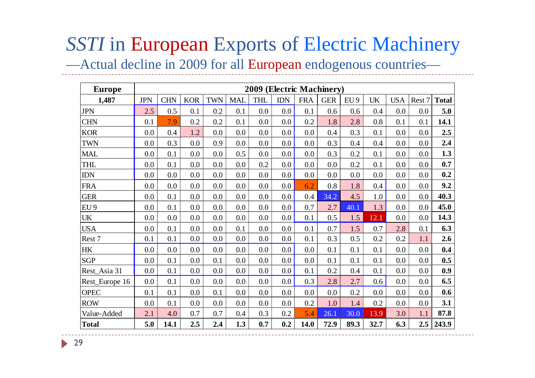# **SSTI** in European Exports of Electric Machinery

—Actual decline in 2009 for all European endogenous countries—

| <b>Europe</b>   |            |            |            |            |            | 2009 (Electric Machinery) |            |            |            |                 |           |            |        |              |
|-----------------|------------|------------|------------|------------|------------|---------------------------|------------|------------|------------|-----------------|-----------|------------|--------|--------------|
| 1,487           | <b>JPN</b> | <b>CHN</b> | <b>KOR</b> | <b>TWN</b> | <b>MAL</b> | <b>THL</b>                | <b>IDN</b> | <b>FRA</b> | <b>GER</b> | EU <sub>9</sub> | <b>UK</b> | <b>USA</b> | Rest 7 | <b>Total</b> |
| <b>JPN</b>      | 2.5        | 0.5        | 0.1        | 0.2        | 0.1        | 0.0                       | 0.0        | 0.1        | 0.6        | 0.6             | 0.4       | 0.0        | 0.0    | 5.0          |
| <b>CHN</b>      | 0.1        | 7.9        | 0.2        | 0.2        | 0.1        | 0.0                       | 0.0        | 0.2        | 1.8        | 2.8             | 0.8       | 0.1        | 0.1    | 14.1         |
| <b>KOR</b>      | 0.0        | 0.4        | 1.2        | 0.0        | 0.0        | 0.0                       | 0.0        | 0.0        | 0.4        | 0.3             | 0.1       | 0.0        | 0.0    | 2.5          |
| <b>TWN</b>      | 0.0        | 0.3        | 0.0        | 0.9        | 0.0        | 0.0                       | 0.0        | 0.0        | 0.3        | 0.4             | 0.4       | 0.0        | 0.0    | 2.4          |
| <b>MAL</b>      | 0.0        | 0.1        | 0.0        | 0.0        | 0.5        | 0.0                       | 0.0        | 0.0        | 0.3        | 0.2             | 0.1       | 0.0        | 0.0    | 1.3          |
| THL             | 0.0        | 0.1        | 0.0        | 0.0        | 0.0        | 0.2                       | 0.0        | 0.0        | 0.0        | 0.2             | 0.1       | 0.0        | 0.0    | 0.7          |
| <b>IDN</b>      | 0.0        | 0.0        | 0.0        | 0.0        | 0.0        | 0.0                       | $0.0\,$    | 0.0        | 0.0        | 0.0             | 0.0       | 0.0        | 0.0    | 0.2          |
| <b>FRA</b>      | 0.0        | 0.0        | 0.0        | 0.0        | 0.0        | 0.0                       | 0.0        | 6.2        | 0.8        | 1.8             | 0.4       | 0.0        | 0.0    | 9.2          |
| <b>GER</b>      | 0.0        | 0.1        | 0.0        | 0.0        | 0.0        | 0.0                       | 0.0        | 0.4        | 34.2       | 4.5             | 1.0       | 0.0        | 0.0    | 40.3         |
| EU <sub>9</sub> | 0.0        | 0.1        | 0.0        | 0.0        | 0.0        | 0.0                       | 0.0        | 0.7        | 2.7        | 40.1            | 1.3       | 0.0        | 0.0    | 45.0         |
| <b>UK</b>       | 0.0        | 0.0        | 0.0        | 0.0        | 0.0        | 0.0                       | 0.0        | 0.1        | 0.5        | 1.5             | 12.1      | 0.0        | 0.0    | 14.3         |
| <b>USA</b>      | 0.0        | 0.1        | 0.0        | 0.0        | 0.1        | 0.0                       | 0.0        | 0.1        | 0.7        | 1.5             | 0.7       | 2.8        | 0.1    | 6.3          |
| Rest 7          | 0.1        | 0.1        | 0.0        | 0.0        | 0.0        | 0.0                       | 0.0        | 0.1        | 0.3        | 0.5             | 0.2       | 0.2        | 1.1    | 2.6          |
| HK              | 0.0        | 0.0        | 0.0        | 0.0        | 0.0        | 0.0                       | 0.0        | 0.0        | 0.1        | 0.1             | 0.1       | 0.0        | 0.0    | 0.4          |
| <b>SGP</b>      | 0.0        | 0.1        | 0.0        | 0.1        | 0.0        | 0.0                       | 0.0        | 0.0        | 0.1        | 0.1             | 0.1       | 0.0        | 0.0    | 0.5          |
| Rest_Asia 31    | 0.0        | 0.1        | 0.0        | 0.0        | 0.0        | 0.0                       | 0.0        | 0.1        | 0.2        | 0.4             | 0.1       | 0.0        | 0.0    | 0.9          |
| Rest_Europe 16  | 0.0        | 0.1        | 0.0        | 0.0        | 0.0        | 0.0                       | $0.0\,$    | 0.3        | 2.8        | 2.7             | 0.6       | 0.0        | 0.0    | 6.5          |
| <b>OPEC</b>     | 0.1        | 0.1        | 0.0        | 0.1        | 0.0        | 0.0                       | 0.0        | 0.0        | $0.0\,$    | 0.2             | 0.0       | 0.0        | 0.0    | 0.6          |
| <b>ROW</b>      | 0.0        | 0.1        | 0.0        | 0.0        | 0.0        | 0.0                       | 0.0        | 0.2        | 1.0        | 1.4             | 0.2       | 0.0        | 0.0    | 3.1          |
| Value-Added     | 2.1        | 4.0        | 0.7        | 0.7        | 0.4        | 0.3                       | 0.2        | 5.4        | 26.1       | 30.0            | 13.9      | 3.0        | 1.1    | 87.8         |
| <b>Total</b>    | 5.0        | 14.1       | 2.5        | 2.4        | 1.3        | 0.7                       | 0.2        | 14.0       | 72.9       | 89.3            | 32.7      | 6.3        | 2.5    | 243.9        |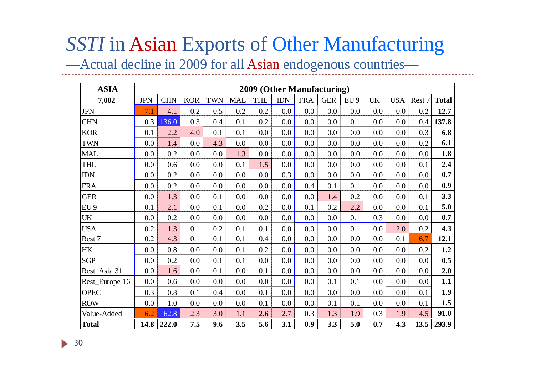#### *SSTI* in Asian Exports of Other Manufacturing

—Actual decline in 2009 for all Asian endogenous countries—

| <b>ASIA</b>                     | 2009 (Other Manufacturing) |           |            |            |            |            |            |            |            |                 |           |            |        |              |
|---------------------------------|----------------------------|-----------|------------|------------|------------|------------|------------|------------|------------|-----------------|-----------|------------|--------|--------------|
| 7,002                           | <b>JPN</b>                 | $\rm CHN$ | <b>KOR</b> | <b>TWN</b> | <b>MAL</b> | <b>THL</b> | <b>IDN</b> | <b>FRA</b> | <b>GER</b> | EU <sub>9</sub> | <b>UK</b> | <b>USA</b> | Rest 7 | <b>Total</b> |
| <b>JPN</b>                      | 7.1                        | 4.1       | 0.2        | 0.5        | 0.2        | 0.2        | 0.0        | 0.0        | 0.0        | 0.0             | 0.0       | 0.0        | 0.2    | 12.7         |
| <b>CHN</b>                      | 0.3                        | 136.0     | 0.3        | 0.4        | 0.1        | 0.2        | 0.0        | 0.0        | 0.0        | 0.1             | 0.0       | 0.0        | 0.4    | 137.8        |
| <b>KOR</b>                      | 0.1                        | 2.2       | 4.0        | 0.1        | 0.1        | 0.0        | 0.0        | 0.0        | 0.0        | 0.0             | 0.0       | 0.0        | 0.3    | 6.8          |
| <b>TWN</b>                      | 0.0                        | 1.4       | 0.0        | 4.3        | 0.0        | 0.0        | 0.0        | 0.0        | 0.0        | 0.0             | 0.0       | 0.0        | 0.2    | 6.1          |
| <b>MAL</b>                      | $0.0\,$                    | 0.2       | 0.0        | 0.0        | 1.3        | 0.0        | 0.0        | 0.0        | 0.0        | 0.0             | 0.0       | 0.0        | 0.0    | 1.8          |
| <b>THL</b>                      | 0.0                        | 0.6       | 0.0        | 0.0        | 0.1        | 1.5        | 0.0        | 0.0        | 0.0        | 0.0             | 0.0       | 0.0        | 0.1    | 2.4          |
| $IDN$                           | $0.0\,$                    | 0.2       | 0.0        | 0.0        | 0.0        | 0.0        | 0.3        | 0.0        | 0.0        | 0.0             | 0.0       | 0.0        | 0.0    | 0.7          |
| <b>FRA</b>                      | $0.0\,$                    | 0.2       | 0.0        | 0.0        | 0.0        | 0.0        | 0.0        | 0.4        | 0.1        | 0.1             | 0.0       | 0.0        | 0.0    | 0.9          |
| <b>GER</b>                      | 0.0                        | 1.3       | 0.0        | 0.1        | 0.0        | 0.0        | 0.0        | 0.0        | 1.4        | 0.2             | 0.0       | 0.0        | 0.1    | 3.3          |
| EU <sub>9</sub>                 | 0.1                        | 2.1       | 0.0        | 0.1        | 0.0        | 0.2        | 0.0        | 0.1        | 0.2        | 2.2             | 0.0       | 0.0        | 0.1    | 5.0          |
| $\ensuremath{\text{UK}}\xspace$ | 0.0                        | 0.2       | 0.0        | 0.0        | 0.0        | 0.0        | 0.0        | 0.0        | 0.0        | 0.1             | 0.3       | 0.0        | 0.0    | 0.7          |
| <b>USA</b>                      | 0.2                        | 1.3       | 0.1        | 0.2        | 0.1        | 0.1        | 0.0        | 0.0        | 0.0        | 0.1             | 0.0       | 2.0        | 0.2    | 4.3          |
| Rest 7                          | 0.2                        | 4.3       | 0.1        | 0.1        | 0.1        | 0.4        | 0.0        | 0.0        | 0.0        | 0.0             | 0.0       | 0.1        | 6.7    | 12.1         |
| HK                              | $0.0\,$                    | 0.8       | 0.0        | 0.0        | 0.1        | 0.2        | 0.0        | 0.0        | 0.0        | 0.0             | 0.0       | 0.0        | 0.2    | 1.2          |
| <b>SGP</b>                      | $0.0\,$                    | 0.2       | 0.0        | 0.1        | 0.1        | 0.0        | 0.0        | 0.0        | 0.0        | 0.0             | 0.0       | 0.0        | 0.0    | 0.5          |
| Rest_Asia 31                    | 0.0                        | 1.6       | 0.0        | 0.1        | 0.0        | 0.1        | 0.0        | 0.0        | 0.0        | 0.0             | 0.0       | 0.0        | 0.0    | 2.0          |
| Rest_Europe 16                  | 0.0                        | 0.6       | 0.0        | 0.0        | 0.0        | 0.0        | 0.0        | 0.0        | 0.1        | 0.1             | 0.0       | 0.0        | 0.0    | 1.1          |
| <b>OPEC</b>                     | 0.3                        | 0.8       | 0.1        | 0.4        | 0.0        | 0.1        | 0.0        | 0.0        | 0.0        | 0.0             | 0.0       | 0.0        | 0.1    | 1.9          |
| <b>ROW</b>                      | $0.0\,$                    | 1.0       | 0.0        | 0.0        | 0.0        | 0.1        | 0.0        | 0.0        | 0.1        | 0.1             | 0.0       | 0.0        | 0.1    | 1.5          |
| Value-Added                     | 6.2                        | 62.8      | 2.3        | 3.0        | 1.1        | 2.6        | 2.7        | 0.3        | 1.3        | 1.9             | 0.3       | 1.9        | 4.5    | 91.0         |
| <b>Total</b>                    | 14.8                       | 222.0     | 7.5        | 9.6        | 3.5        | 5.6        | 3.1        | 0.9        | 3.3        | 5.0             | 0.7       | 4.3        | 13.5   | 293.9        |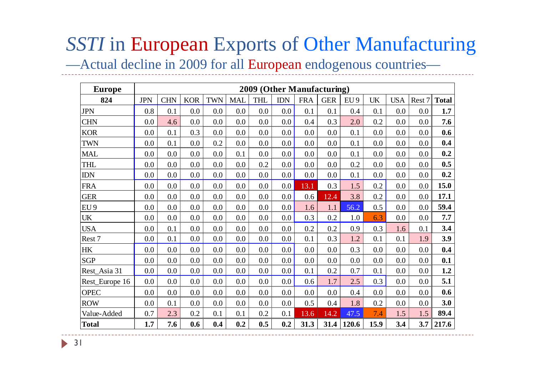# *SSTI* in European Exports of Other Manufacturing

—Actual decline in 2009 for all European endogenous countries—

| <b>Europe</b>   | 2009 (Other Manufacturing) |            |            |            |            |            |            |            |            |                 |      |            |        |              |
|-----------------|----------------------------|------------|------------|------------|------------|------------|------------|------------|------------|-----------------|------|------------|--------|--------------|
| 824             | <b>JPN</b>                 | <b>CHN</b> | <b>KOR</b> | <b>TWN</b> | <b>MAL</b> | <b>THL</b> | <b>IDN</b> | <b>FRA</b> | <b>GER</b> | EU <sub>9</sub> | UK   | <b>USA</b> | Rest 7 | <b>Total</b> |
| <b>JPN</b>      | 0.8                        | 0.1        | 0.0        | 0.0        | 0.0        | 0.0        | 0.0        | 0.1        | 0.1        | 0.4             | 0.1  | 0.0        | 0.0    | 1.7          |
| <b>CHN</b>      | 0.0                        | 4.6        | 0.0        | 0.0        | 0.0        | 0.0        | $0.0\,$    | 0.4        | 0.3        | 2.0             | 0.2  | 0.0        | 0.0    | 7.6          |
| <b>KOR</b>      | 0.0                        | 0.1        | 0.3        | 0.0        | 0.0        | 0.0        | 0.0        | 0.0        | 0.0        | 0.1             | 0.0  | 0.0        | 0.0    | 0.6          |
| <b>TWN</b>      | 0.0                        | 0.1        | 0.0        | 0.2        | 0.0        | 0.0        | 0.0        | 0.0        | 0.0        | 0.1             | 0.0  | 0.0        | 0.0    | 0.4          |
| <b>MAL</b>      | 0.0                        | 0.0        | 0.0        | 0.0        | 0.1        | 0.0        | 0.0        | 0.0        | 0.0        | 0.1             | 0.0  | $0.0\,$    | 0.0    | 0.2          |
| THL             | 0.0                        | 0.0        | 0.0        | 0.0        | 0.0        | 0.2        | 0.0        | 0.0        | 0.0        | 0.2             | 0.0  | 0.0        | 0.0    | 0.5          |
| <b>IDN</b>      | 0.0                        | 0.0        | 0.0        | 0.0        | 0.0        | 0.0        | $0.0\,$    | 0.0        | 0.0        | 0.1             | 0.0  | 0.0        | 0.0    | 0.2          |
| <b>FRA</b>      | 0.0                        | 0.0        | 0.0        | 0.0        | 0.0        | 0.0        | 0.0        | 13.1       | 0.3        | 1.5             | 0.2  | 0.0        | 0.0    | 15.0         |
| <b>GER</b>      | 0.0                        | 0.0        | 0.0        | 0.0        | 0.0        | 0.0        | 0.0        | 0.6        | 12.4       | 3.8             | 0.2  | 0.0        | 0.0    | 17.1         |
| EU <sub>9</sub> | 0.0                        | 0.0        | 0.0        | 0.0        | 0.0        | 0.0        | 0.0        | 1.6        | 1.1        | 56.2            | 0.5  | 0.0        | 0.0    | 59.4         |
| <b>UK</b>       | 0.0                        | 0.0        | 0.0        | 0.0        | 0.0        | 0.0        | $0.0\,$    | 0.3        | 0.2        | 1.0             | 6.3  | 0.0        | 0.0    | 7.7          |
| <b>USA</b>      | 0.0                        | 0.1        | 0.0        | 0.0        | 0.0        | 0.0        | $0.0\,$    | 0.2        | 0.2        | 0.9             | 0.3  | 1.6        | 0.1    | 3.4          |
| Rest 7          | 0.0                        | 0.1        | 0.0        | 0.0        | 0.0        | 0.0        | 0.0        | 0.1        | 0.3        | 1.2             | 0.1  | 0.1        | 1.9    | 3.9          |
| HK              | 0.0                        | 0.0        | 0.0        | 0.0        | 0.0        | 0.0        | 0.0        | 0.0        | 0.0        | 0.3             | 0.0  | 0.0        | 0.0    | 0.4          |
| <b>SGP</b>      | 0.0                        | 0.0        | 0.0        | 0.0        | 0.0        | 0.0        | $0.0\,$    | 0.0        | 0.0        | 0.0             | 0.0  | 0.0        | 0.0    | 0.1          |
| Rest_Asia 31    | 0.0                        | 0.0        | 0.0        | 0.0        | 0.0        | 0.0        | $0.0\,$    | 0.1        | 0.2        | 0.7             | 0.1  | 0.0        | 0.0    | 1.2          |
| Rest_Europe 16  | 0.0                        | 0.0        | 0.0        | 0.0        | 0.0        | 0.0        | $0.0\,$    | 0.6        | 1.7        | 2.5             | 0.3  | 0.0        | 0.0    | 5.1          |
| <b>OPEC</b>     | 0.0                        | 0.0        | 0.0        | 0.0        | 0.0        | 0.0        | $0.0\,$    | 0.0        | 0.0        | 0.4             | 0.0  | 0.0        | 0.0    | 0.6          |
| <b>ROW</b>      | 0.0                        | 0.1        | 0.0        | 0.0        | 0.0        | 0.0        | 0.0        | 0.5        | 0.4        | 1.8             | 0.2  | 0.0        | 0.0    | 3.0          |
| Value-Added     | 0.7                        | 2.3        | 0.2        | 0.1        | 0.1        | 0.2        | 0.1        | 13.6       | 14.2       | 47.5            | 7.4  | 1.5        | 1.5    | 89.4         |
| <b>Total</b>    | 1.7                        | 7.6        | 0.6        | 0.4        | 0.2        | 0.5        | 0.2        | 31.3       | 31.4       | 120.6           | 15.9 | 3.4        | 3.7    | 217.6        |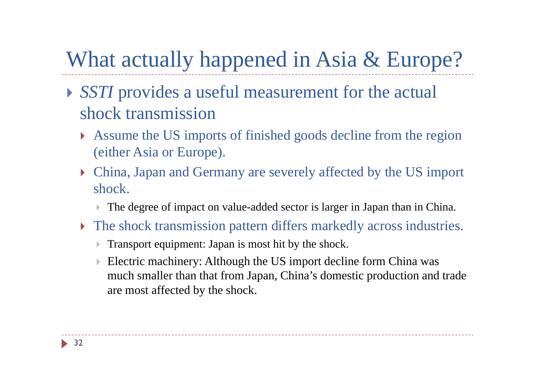## What actually happened in Asia & Europe?

- *SSTI* provides a useful measurement for the actual shock transmission
	- Assume the US imports of finished goods decline from the region (either Asia or Europe).
	- China, Japan and Germany are severely affected by the US import shock.
		- $\blacktriangleright$ The degree of impact on value-added sector is larger in Japan than in China.
	- The shock transmission pattern differs markedly across industries.
		- $\blacktriangleright$ Transport equipment: Japan is most hit by the shock.
		- $\blacktriangleright$  Electric machinery: Although the US import decline form China was much smaller than that from Japan, China's domestic production and trade are most affected by the shock.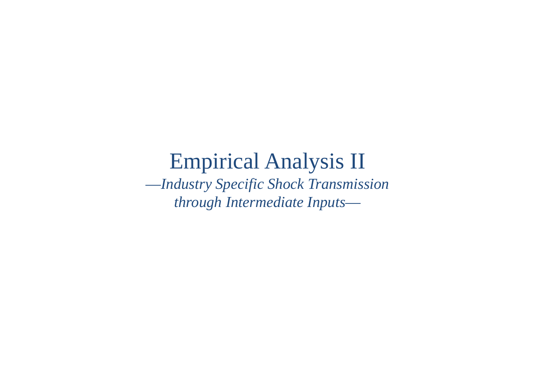### Empirical Analysis II

—*Industry Specific Shock Transmission through Intermediate Inputs*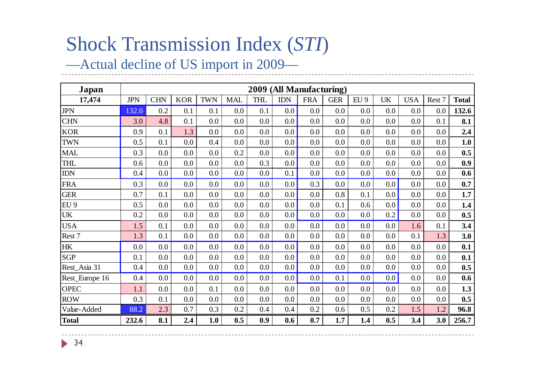### Shock Transmission Index (*STI*)

#### —Actual decline of US import in 2009—

| Japan           | 2009 (All Manufacturing) |            |            |            |            |            |            |            |            |      |           |            |        |              |
|-----------------|--------------------------|------------|------------|------------|------------|------------|------------|------------|------------|------|-----------|------------|--------|--------------|
| 17,474          | <b>JPN</b>               | <b>CHN</b> | <b>KOR</b> | <b>TWN</b> | <b>MAL</b> | <b>THL</b> | <b>IDN</b> | <b>FRA</b> | <b>GER</b> | EU 9 | <b>UK</b> | <b>USA</b> | Rest 7 | <b>Total</b> |
| <b>JPN</b>      | 132.0                    | 0.2        | 0.1        | 0.1        | 0.0        | 0.1        | 0.0        | 0.0        | 0.0        | 0.0  | 0.0       | 0.0        | 0.0    | 132.6        |
| <b>CHN</b>      | 3.0                      | 4.8        | 0.1        | 0.0        | 0.0        | 0.0        | 0.0        | 0.0        | 0.0        | 0.0  | 0.0       | 0.0        | 0.1    | 8.1          |
| <b>KOR</b>      | 0.9                      | 0.1        | 1.3        | 0.0        | 0.0        | 0.0        | 0.0        | 0.0        | 0.0        | 0.0  | 0.0       | 0.0        | 0.0    | 2.4          |
| <b>TWN</b>      | 0.5                      | 0.1        | 0.0        | 0.4        | 0.0        | 0.0        | 0.0        | 0.0        | 0.0        | 0.0  | 0.0       | 0.0        | 0.0    | 1.0          |
| <b>MAL</b>      | 0.3                      | 0.0        | 0.0        | 0.0        | 0.2        | 0.0        | 0.0        | 0.0        | 0.0        | 0.0  | 0.0       | 0.0        | 0.0    | 0.5          |
| <b>THL</b>      | 0.6                      | 0.0        | 0.0        | 0.0        | 0.0        | 0.3        | 0.0        | 0.0        | 0.0        | 0.0  | 0.0       | 0.0        | 0.0    | 0.9          |
| <b>IDN</b>      | 0.4                      | 0.0        | 0.0        | 0.0        | 0.0        | 0.0        | 0.1        | 0.0        | $0.0\,$    | 0.0  | 0.0       | 0.0        | 0.0    | 0.6          |
| <b>FRA</b>      | 0.3                      | $0.0\,$    | 0.0        | 0.0        | 0.0        | 0.0        | 0.0        | 0.3        | 0.0        | 0.0  | 0.0       | 0.0        | 0.0    | 0.7          |
| <b>GER</b>      | 0.7                      | 0.1        | 0.0        | 0.0        | 0.0        | 0.0        | 0.0        | 0.0        | 0.8        | 0.1  | 0.0       | 0.0        | 0.0    | 1.7          |
| EU <sub>9</sub> | 0.5                      | $0.0\,$    | 0.0        | 0.0        | 0.0        | 0.0        | 0.0        | 0.0        | 0.1        | 0.6  | 0.0       | 0.0        | 0.0    | 1.4          |
| <b>UK</b>       | 0.2                      | $0.0\,$    | 0.0        | 0.0        | 0.0        | 0.0        | 0.0        | 0.0        | 0.0        | 0.0  | 0.2       | 0.0        | 0.0    | 0.5          |
| <b>USA</b>      | 1.5                      | 0.1        | 0.0        | 0.0        | 0.0        | 0.0        | 0.0        | 0.0        | 0.0        | 0.0  | 0.0       | 1.6        | 0.1    | 3.4          |
| Rest 7          | 1.3                      | 0.1        | 0.0        | 0.0        | 0.0        | 0.0        | 0.0        | 0.0        | 0.0        | 0.0  | 0.0       | 0.1        | 1.3    | 3.0          |
| <b>HK</b>       | 0.0                      | $0.0\,$    | 0.0        | 0.0        | 0.0        | 0.0        | 0.0        | 0.0        | 0.0        | 0.0  | 0.0       | 0.0        | 0.0    | 0.1          |
| <b>SGP</b>      | 0.1                      | $0.0\,$    | 0.0        | 0.0        | 0.0        | 0.0        | 0.0        | 0.0        | 0.0        | 0.0  | 0.0       | 0.0        | 0.0    | 0.1          |
| Rest_Asia 31    | 0.4                      | 0.0        | 0.0        | 0.0        | 0.0        | 0.0        | 0.0        | 0.0        | 0.0        | 0.0  | 0.0       | 0.0        | 0.0    | 0.5          |
| Rest_Europe 16  | 0.4                      | $0.0\,$    | 0.0        | 0.0        | 0.0        | 0.0        | 0.0        | 0.0        | 0.1        | 0.0  | $0.0\,$   | 0.0        | 0.0    | 0.6          |
| <b>OPEC</b>     | 1.1                      | 0.0        | 0.0        | 0.1        | 0.0        | 0.0        | 0.0        | 0.0        | 0.0        | 0.0  | 0.0       | 0.0        | 0.0    | 1.3          |
| <b>ROW</b>      | 0.3                      | 0.1        | 0.0        | 0.0        | 0.0        | 0.0        | 0.0        | 0.0        | 0.0        | 0.0  | 0.0       | 0.0        | 0.0    | 0.5          |
| Value-Added     | 88.2                     | 2.3        | 0.7        | 0.3        | 0.2        | 0.4        | 0.4        | 0.2        | 0.6        | 0.5  | 0.2       | 1.5        | 1.2    | 96.8         |
| <b>Total</b>    | 232.6                    | 8.1        | 2.4        | 1.0        | 0.5        | 0.9        | 0.6        | 0.7        | 1.7        | 1.4  | 0.5       | 3.4        | 3.0    | 256.7        |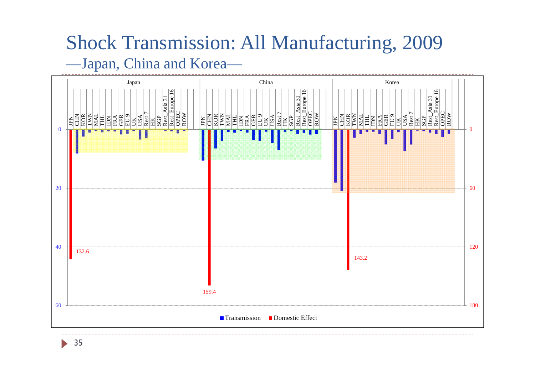#### Shock Transmission: All Manufacturing, 2009 —Japan, China and Korea—

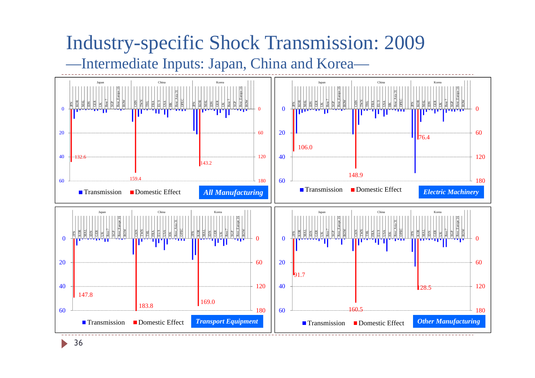#### Industry-specific Shock Transmission: 2009 —Intermediate Inputs: Japan, China and Korea—

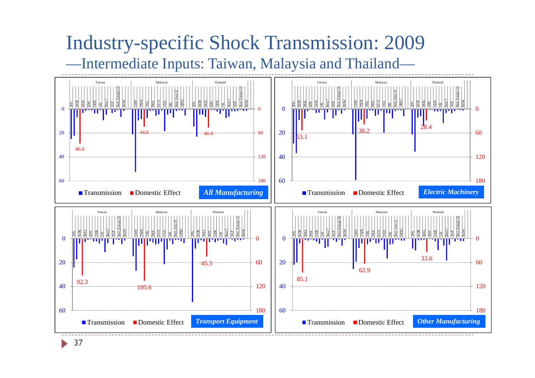#### Industry-specific Shock Transmission: 2009 —Intermediate Inputs: Taiwan, Malaysia and Thailand—

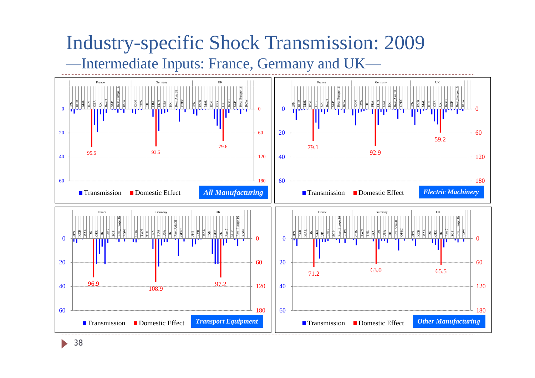#### Industry-specific Shock Transmission: 2009 —Intermediate Inputs: France, Germany and UK—

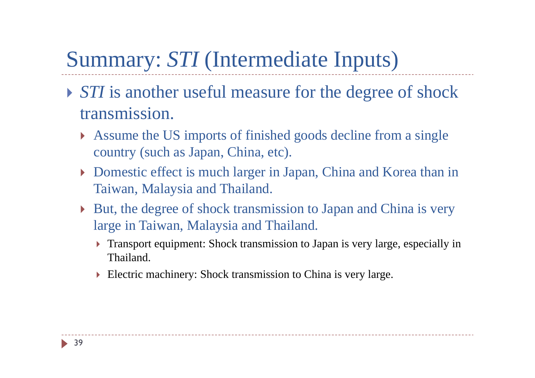### Summary: *STI* (Intermediate Inputs)

- **STI** is another useful measure for the degree of shock transmission.
	- Assume the US imports of finished goods decline from a single country (such as Japan, China, etc).
	- Domestic effect is much larger in Japan, China and Korea than in Taiwan, Malaysia and Thailand.
	- But, the degree of shock transmission to Japan and China is very large in Taiwan, Malaysia and Thailand.
		- Transport equipment: Shock transmission to Japan is very large, especially in Thailand.
		- Electric machinery: Shock transmission to China is very large.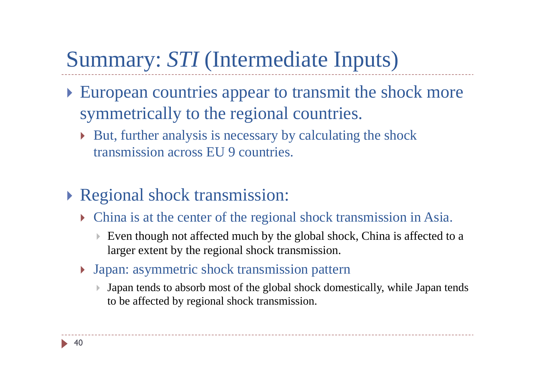## Summary: *STI* (Intermediate Inputs)

- European countries appear to transmit the shock more symmetrically to the regional countries.
	- But, further analysis is necessary by calculating the shock transmission across EU 9 countries.
- Regional shock transmission:
	- China is at the center of the regional shock transmission in Asia.
		- $\overline{\mathbb{R}}$  Even though not affected much by the global shock, China is affected to a larger extent by the regional shock transmission.
	- Japan: asymmetric shock transmission pattern
		- $\mathbf{p}$  Japan tends to absorb most of the global shock domestically, while Japan tends to be affected by regional shock transmission.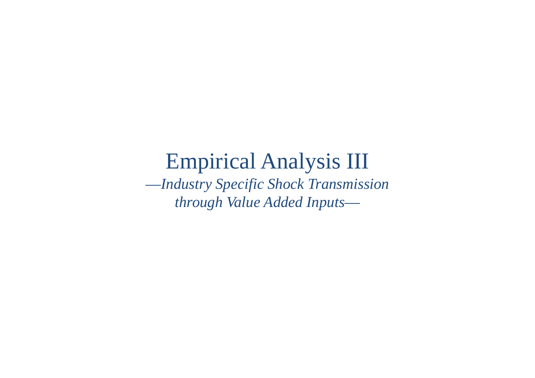### Empirical Analysis III

—*Industry Specific Shock Transmission through Value Added Inputs* —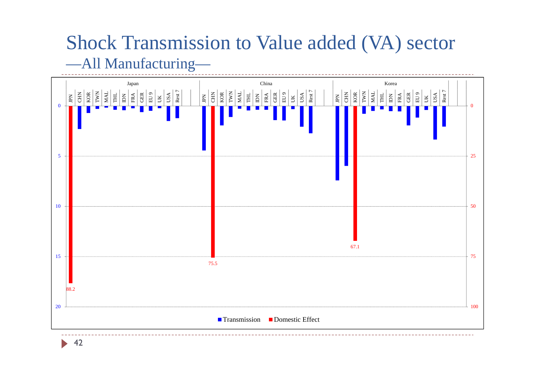#### Shock Transmission to Value added (VA) sector —All Manufacturing—

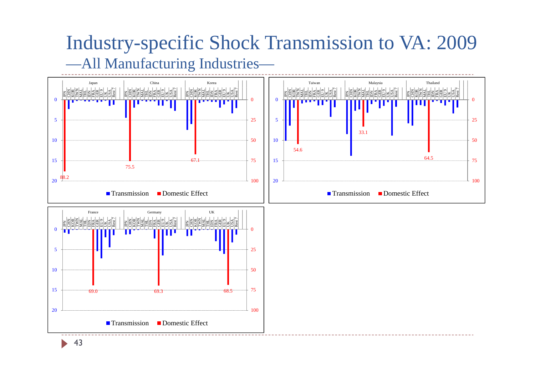#### Industry-specific Shock Transmission to VA: 2009 —All Manufacturing Industries—

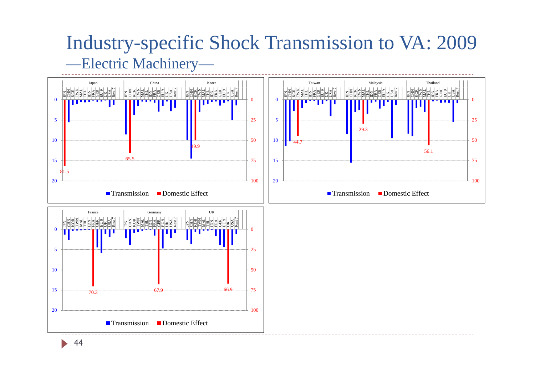#### Industry-specific Shock Transmission to VA: 2009 —Electric Machinery—

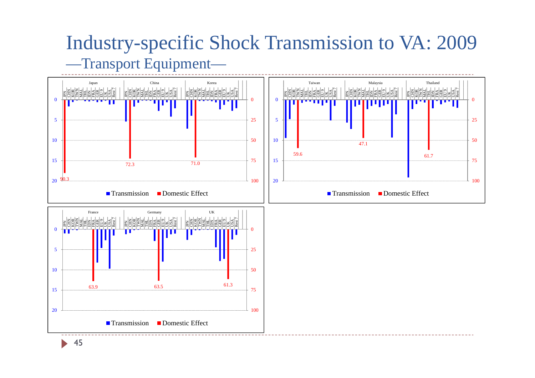#### Industry-specific Shock Transmission to VA: 2009 —Transport Equipment—

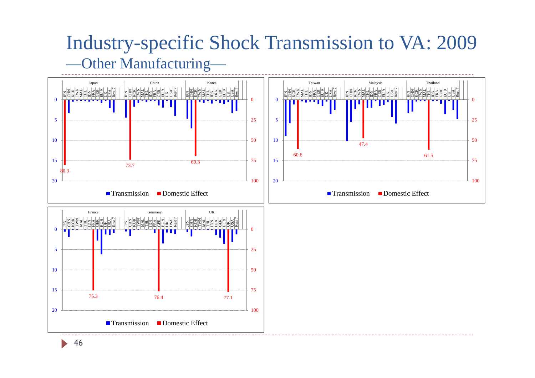#### Industry-specific Shock Transmission to VA: 2009 —Other Manufacturing—

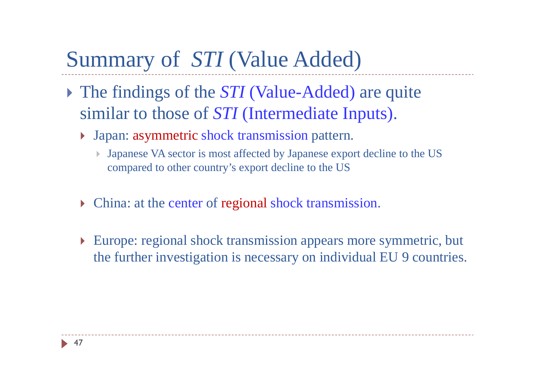### Summary of *STI* (Value Added)

- The findings of the *STI* (Value-Added) are quite similar to those of *STI* (Intermediate Inputs).
	- Japan: asymmetric shock transmission pattern.
		- $\overline{\phantom{a}}$  Japanese VA sector is most affected by Japanese export decline to the US compared to other country's export decline to the US
	- **Follow**: at the center of regional shock transmission.
	- Europe: regional shock transmission appears more symmetric, but the further investigation is necessary on individual EU 9 countries.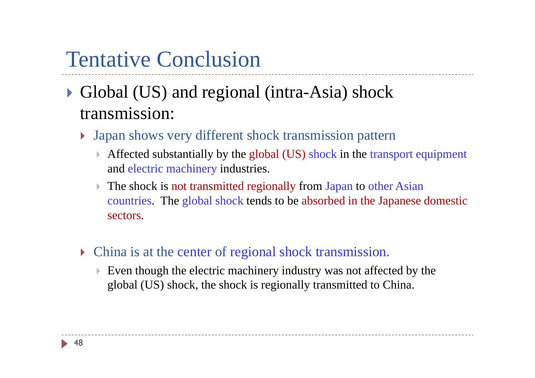### Tentative Conclusion

- Global (US) and regional (intra-Asia) shock transmission:
	- Japan shows very different shock transmission pattern
		- $\frac{1}{2}$  Affected substantially by the global (US) shock in the transport equipment and electric machinery industries.
		- $\blacktriangleright$ The shock is not transmitted regionally from Japan to other Asian countries. The global shock tends to be absorbed in the Japanese domestic sectors.
	- **If** China is at the center of regional shock transmission.
		- $\blacktriangleright$  Even though the electric machinery industry was not affected by the global (US) shock, the shock is regionally transmitted to China.